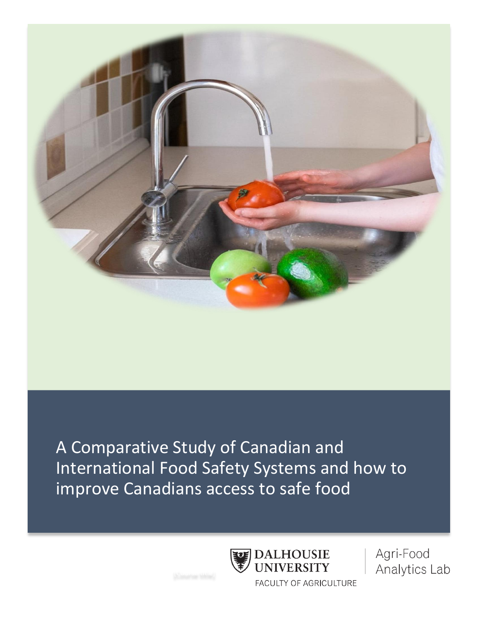

A Comparative Study of Canadian and International Food Safety Systems and how to improve Canadians access to safe food

**DALHOUSIE** 

**FACULTY OF AGRICULTURE** 

**UNIVERSITY** 

Agri-Food Analytics Lab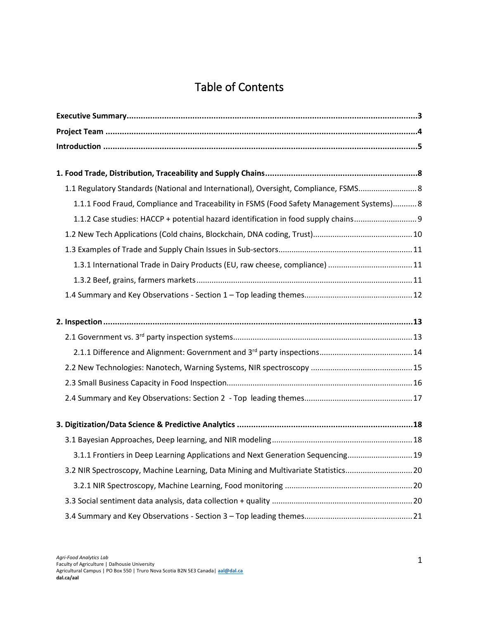# Table of Contents

| 1.1 Regulatory Standards (National and International), Oversight, Compliance, FSMS 8    |  |
|-----------------------------------------------------------------------------------------|--|
| 1.1.1 Food Fraud, Compliance and Traceability in FSMS (Food Safety Management Systems)8 |  |
|                                                                                         |  |
| 1.1.2 Case studies: HACCP + potential hazard identification in food supply chains       |  |
|                                                                                         |  |
|                                                                                         |  |
| 1.3.1 International Trade in Dairy Products (EU, raw cheese, compliance) 11             |  |
|                                                                                         |  |
|                                                                                         |  |
|                                                                                         |  |
|                                                                                         |  |
|                                                                                         |  |
|                                                                                         |  |
|                                                                                         |  |
|                                                                                         |  |
|                                                                                         |  |
|                                                                                         |  |
| 3.1.1 Frontiers in Deep Learning Applications and Next Generation Sequencing 19         |  |
| 3.2 NIR Spectroscopy, Machine Learning, Data Mining and Multivariate Statistics20       |  |
|                                                                                         |  |
|                                                                                         |  |
|                                                                                         |  |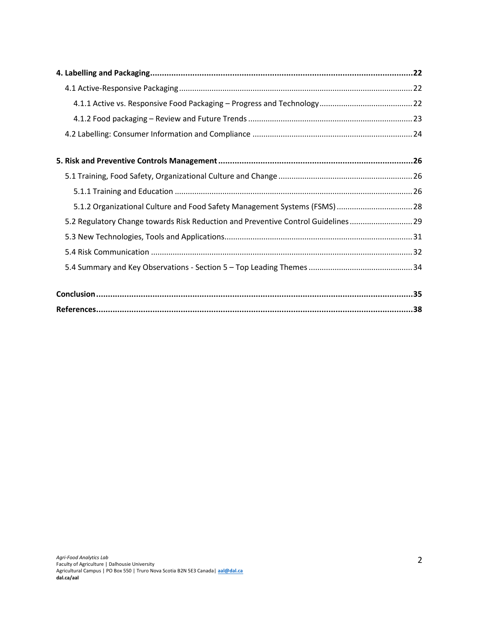| 5.1.2 Organizational Culture and Food Safety Management Systems (FSMS)  28        |  |
|-----------------------------------------------------------------------------------|--|
| 5.2 Regulatory Change towards Risk Reduction and Preventive Control Guidelines 29 |  |
|                                                                                   |  |
|                                                                                   |  |
|                                                                                   |  |
|                                                                                   |  |
|                                                                                   |  |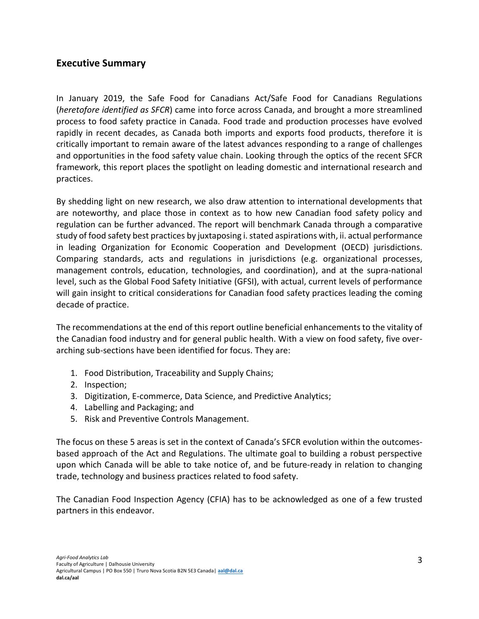# <span id="page-3-0"></span>**Executive Summary**

In January 2019, the Safe Food for Canadians Act/Safe Food for Canadians Regulations (*heretofore identified as SFCR*) came into force across Canada, and brought a more streamlined process to food safety practice in Canada. Food trade and production processes have evolved rapidly in recent decades, as Canada both imports and exports food products, therefore it is critically important to remain aware of the latest advances responding to a range of challenges and opportunities in the food safety value chain. Looking through the optics of the recent SFCR framework, this report places the spotlight on leading domestic and international research and practices.

By shedding light on new research, we also draw attention to international developments that are noteworthy, and place those in context as to how new Canadian food safety policy and regulation can be further advanced. The report will benchmark Canada through a comparative study of food safety best practices by juxtaposing i. stated aspirations with, ii. actual performance in leading Organization for Economic Cooperation and Development (OECD) jurisdictions. Comparing standards, acts and regulations in jurisdictions (e.g. organizational processes, management controls, education, technologies, and coordination), and at the supra-national level, such as the Global Food Safety Initiative (GFSI), with actual, current levels of performance will gain insight to critical considerations for Canadian food safety practices leading the coming decade of practice.

The recommendations at the end of this report outline beneficial enhancements to the vitality of the Canadian food industry and for general public health. With a view on food safety, five overarching sub-sections have been identified for focus. They are:

- 1. Food Distribution, Traceability and Supply Chains;
- 2. Inspection;
- 3. Digitization, E-commerce, Data Science, and Predictive Analytics;
- 4. Labelling and Packaging; and
- 5. Risk and Preventive Controls Management.

The focus on these 5 areas is set in the context of Canada's SFCR evolution within the outcomesbased approach of the Act and Regulations. The ultimate goal to building a robust perspective upon which Canada will be able to take notice of, and be future-ready in relation to changing trade, technology and business practices related to food safety.

The Canadian Food Inspection Agency (CFIA) has to be acknowledged as one of a few trusted partners in this endeavor.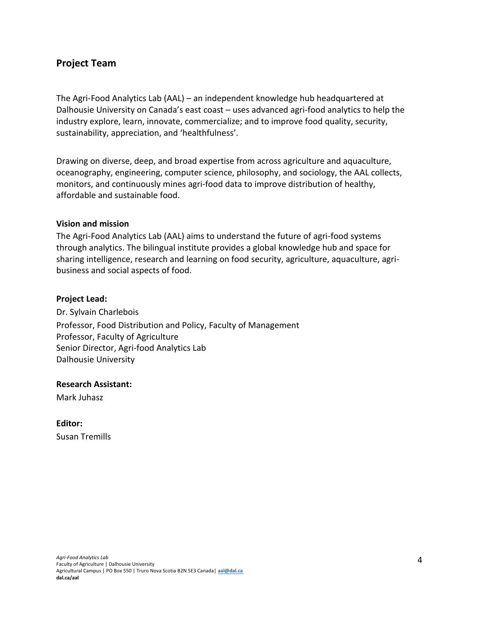# <span id="page-4-0"></span>**Project Team**

The Agri-Food Analytics Lab (AAL) – an independent knowledge hub headquartered at Dalhousie University on Canada's east coast – uses advanced agri-food analytics to help the industry explore, learn, innovate, commercialize; and to improve food quality, security, sustainability, appreciation, and 'healthfulness'.

Drawing on diverse, deep, and broad expertise from across agriculture and aquaculture, oceanography, engineering, computer science, philosophy, and sociology, the AAL collects, monitors, and continuously mines agri-food data to improve distribution of healthy, affordable and sustainable food.

#### **Vision and mission**

The Agri-Food Analytics Lab (AAL) aims to understand the future of agri-food systems through analytics. The bilingual institute provides a global knowledge hub and space for sharing intelligence, research and learning on food security, agriculture, aquaculture, agribusiness and social aspects of food.

#### **Project Lead:**

Dr. Sylvain Charlebois Professor, Food Distribution and Policy, Faculty of Management Professor, Faculty of Agriculture Senior Director, Agri-food Analytics Lab Dalhousie University

**Research Assistant:**

Mark Juhasz

**Editor:** Susan Tremills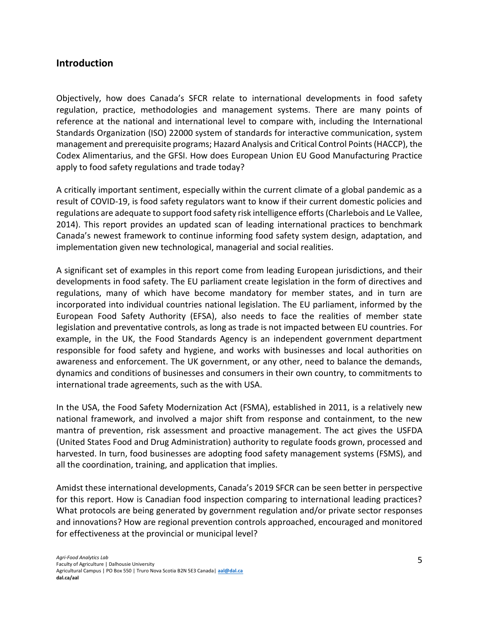# <span id="page-5-0"></span>**Introduction**

Objectively, how does Canada's SFCR relate to international developments in food safety regulation, practice, methodologies and management systems. There are many points of reference at the national and international level to compare with, including the International Standards Organization (ISO) 22000 system of standards for interactive communication, system management and prerequisite programs; Hazard Analysis and Critical Control Points(HACCP), the Codex Alimentarius, and the GFSI. How does European Union EU Good Manufacturing Practice apply to food safety regulations and trade today?

A critically important sentiment, especially within the current climate of a global pandemic as a result of COVID-19, is food safety regulators want to know if their current domestic policies and regulations are adequate to support food safety risk intelligence efforts (Charlebois and Le Vallee, 2014). This report provides an updated scan of leading international practices to benchmark Canada's newest framework to continue informing food safety system design, adaptation, and implementation given new technological, managerial and social realities.

A significant set of examples in this report come from leading European jurisdictions, and their developments in food safety. The EU parliament create legislation in the form of directives and regulations, many of which have become mandatory for member states, and in turn are incorporated into individual countries national legislation. The EU parliament, informed by the European Food Safety Authority (EFSA), also needs to face the realities of member state legislation and preventative controls, as long as trade is not impacted between EU countries. For example, in the UK, the Food Standards Agency is an independent government department responsible for food safety and hygiene, and works with businesses and local authorities on awareness and enforcement. The UK government, or any other, need to balance the demands, dynamics and conditions of businesses and consumers in their own country, to commitments to international trade agreements, such as the with USA.

In the USA, the Food Safety Modernization Act (FSMA), established in 2011, is a relatively new national framework, and involved a major shift from response and containment, to the new mantra of prevention, risk assessment and proactive management. The act gives the USFDA (United States Food and Drug Administration) authority to regulate foods grown, processed and harvested. In turn, food businesses are adopting food safety management systems (FSMS), and all the coordination, training, and application that implies.

Amidst these international developments, Canada's 2019 SFCR can be seen better in perspective for this report. How is Canadian food inspection comparing to international leading practices? What protocols are being generated by government regulation and/or private sector responses and innovations? How are regional prevention controls approached, encouraged and monitored for effectiveness at the provincial or municipal level?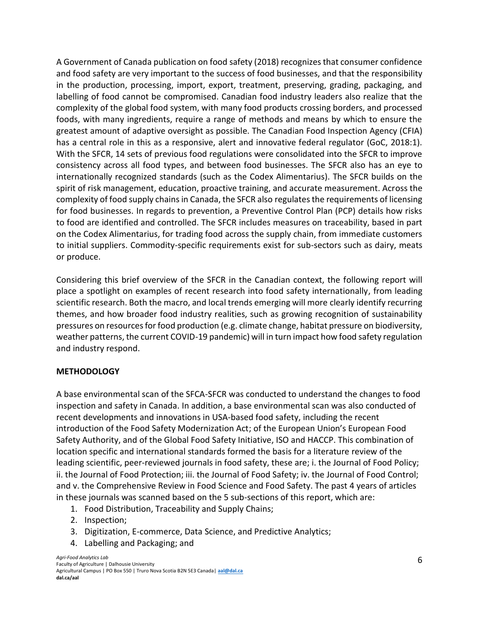A Government of Canada publication on food safety (2018) recognizes that consumer confidence and food safety are very important to the success of food businesses, and that the responsibility in the production, processing, import, export, treatment, preserving, grading, packaging, and labelling of food cannot be compromised. Canadian food industry leaders also realize that the complexity of the global food system, with many food products crossing borders, and processed foods, with many ingredients, require a range of methods and means by which to ensure the greatest amount of adaptive oversight as possible. The Canadian Food Inspection Agency (CFIA) has a central role in this as a responsive, alert and innovative federal regulator (GoC, 2018:1). With the SFCR, 14 sets of previous food regulations were consolidated into the SFCR to improve consistency across all food types, and between food businesses. The SFCR also has an eye to internationally recognized standards (such as the Codex Alimentarius). The SFCR builds on the spirit of risk management, education, proactive training, and accurate measurement. Across the complexity of food supply chains in Canada, the SFCR also regulates the requirements of licensing for food businesses. In regards to prevention, a Preventive Control Plan (PCP) details how risks to food are identified and controlled. The SFCR includes measures on traceability, based in part on the Codex Alimentarius, for trading food across the supply chain, from immediate customers to initial suppliers. Commodity-specific requirements exist for sub-sectors such as dairy, meats or produce.

Considering this brief overview of the SFCR in the Canadian context, the following report will place a spotlight on examples of recent research into food safety internationally, from leading scientific research. Both the macro, and local trends emerging will more clearly identify recurring themes, and how broader food industry realities, such as growing recognition of sustainability pressures on resources for food production (e.g. climate change, habitat pressure on biodiversity, weather patterns, the current COVID-19 pandemic) will in turn impact how food safety regulation and industry respond.

## **METHODOLOGY**

A base environmental scan of the SFCA-SFCR was conducted to understand the changes to food inspection and safety in Canada. In addition, a base environmental scan was also conducted of recent developments and innovations in USA-based food safety, including the recent introduction of the Food Safety Modernization Act; of the European Union's European Food Safety Authority, and of the Global Food Safety Initiative, ISO and HACCP. This combination of location specific and international standards formed the basis for a literature review of the leading scientific, peer-reviewed journals in food safety, these are; i. the Journal of Food Policy; ii. the Journal of Food Protection; iii. the Journal of Food Safety; iv. the Journal of Food Control; and v. the Comprehensive Review in Food Science and Food Safety. The past 4 years of articles in these journals was scanned based on the 5 sub-sections of this report, which are:

- 1. Food Distribution, Traceability and Supply Chains;
- 2. Inspection;
- 3. Digitization, E-commerce, Data Science, and Predictive Analytics;
- 4. Labelling and Packaging; and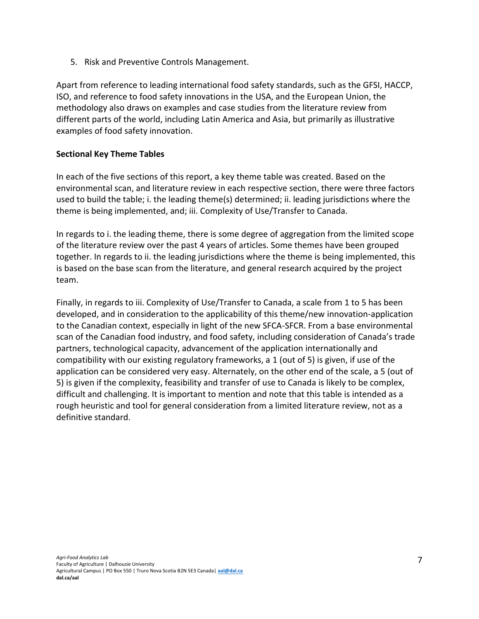5. Risk and Preventive Controls Management.

Apart from reference to leading international food safety standards, such as the GFSI, HACCP, ISO, and reference to food safety innovations in the USA, and the European Union, the methodology also draws on examples and case studies from the literature review from different parts of the world, including Latin America and Asia, but primarily as illustrative examples of food safety innovation.

## **Sectional Key Theme Tables**

In each of the five sections of this report, a key theme table was created. Based on the environmental scan, and literature review in each respective section, there were three factors used to build the table; i. the leading theme(s) determined; ii. leading jurisdictions where the theme is being implemented, and; iii. Complexity of Use/Transfer to Canada.

In regards to i. the leading theme, there is some degree of aggregation from the limited scope of the literature review over the past 4 years of articles. Some themes have been grouped together. In regards to ii. the leading jurisdictions where the theme is being implemented, this is based on the base scan from the literature, and general research acquired by the project team.

Finally, in regards to iii. Complexity of Use/Transfer to Canada, a scale from 1 to 5 has been developed, and in consideration to the applicability of this theme/new innovation-application to the Canadian context, especially in light of the new SFCA-SFCR. From a base environmental scan of the Canadian food industry, and food safety, including consideration of Canada's trade partners, technological capacity, advancement of the application internationally and compatibility with our existing regulatory frameworks, a 1 (out of 5) is given, if use of the application can be considered very easy. Alternately, on the other end of the scale, a 5 (out of 5) is given if the complexity, feasibility and transfer of use to Canada is likely to be complex, difficult and challenging. It is important to mention and note that this table is intended as a rough heuristic and tool for general consideration from a limited literature review, not as a definitive standard.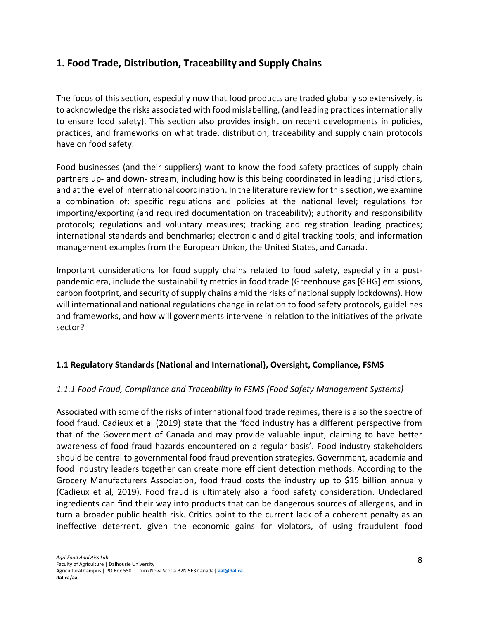# <span id="page-8-0"></span>**1. Food Trade, Distribution, Traceability and Supply Chains**

The focus of this section, especially now that food products are traded globally so extensively, is to acknowledge the risks associated with food mislabelling, (and leading practices internationally to ensure food safety). This section also provides insight on recent developments in policies, practices, and frameworks on what trade, distribution, traceability and supply chain protocols have on food safety.

Food businesses (and their suppliers) want to know the food safety practices of supply chain partners up- and down- stream, including how is this being coordinated in leading jurisdictions, and at the level of international coordination. In the literature review for this section, we examine a combination of: specific regulations and policies at the national level; regulations for importing/exporting (and required documentation on traceability); authority and responsibility protocols; regulations and voluntary measures; tracking and registration leading practices; international standards and benchmarks; electronic and digital tracking tools; and information management examples from the European Union, the United States, and Canada.

Important considerations for food supply chains related to food safety, especially in a postpandemic era, include the sustainability metrics in food trade (Greenhouse gas [GHG] emissions, carbon footprint, and security of supply chains amid the risks of national supply lockdowns). How will international and national regulations change in relation to food safety protocols, guidelines and frameworks, and how will governments intervene in relation to the initiatives of the private sector?

# <span id="page-8-1"></span>**1.1 Regulatory Standards (National and International), Oversight, Compliance, FSMS**

# <span id="page-8-2"></span>*1.1.1 Food Fraud, Compliance and Traceability in FSMS (Food Safety Management Systems)*

Associated with some of the risks of international food trade regimes, there is also the spectre of food fraud. Cadieux et al (2019) state that the 'food industry has a different perspective from that of the Government of Canada and may provide valuable input, claiming to have better awareness of food fraud hazards encountered on a regular basis'. Food industry stakeholders should be central to governmental food fraud prevention strategies. Government, academia and food industry leaders together can create more efficient detection methods. According to the Grocery Manufacturers Association, food fraud costs the industry up to \$15 billion annually (Cadieux et al, 2019). Food fraud is ultimately also a food safety consideration. Undeclared ingredients can find their way into products that can be dangerous sources of allergens, and in turn a broader public health risk. Critics point to the current lack of a coherent penalty as an ineffective deterrent, given the economic gains for violators, of using fraudulent food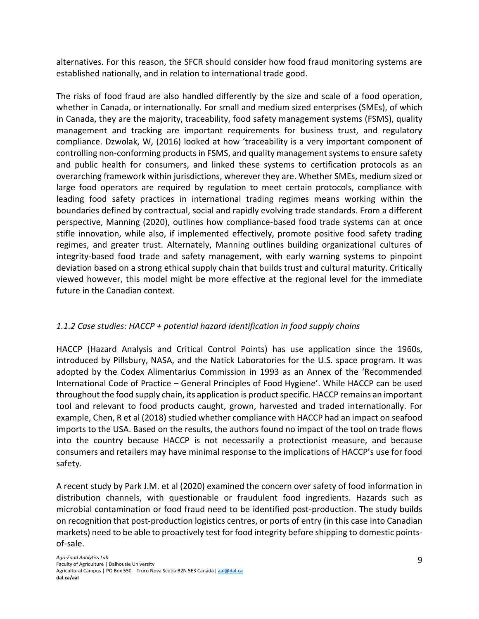alternatives. For this reason, the SFCR should consider how food fraud monitoring systems are established nationally, and in relation to international trade good.

The risks of food fraud are also handled differently by the size and scale of a food operation, whether in Canada, or internationally. For small and medium sized enterprises (SMEs), of which in Canada, they are the majority, traceability, food safety management systems (FSMS), quality management and tracking are important requirements for business trust, and regulatory compliance. Dzwolak, W, (2016) looked at how 'traceability is a very important component of controlling non-conforming products in FSMS, and quality management systems to ensure safety and public health for consumers, and linked these systems to certification protocols as an overarching framework within jurisdictions, wherever they are. Whether SMEs, medium sized or large food operators are required by regulation to meet certain protocols, compliance with leading food safety practices in international trading regimes means working within the boundaries defined by contractual, social and rapidly evolving trade standards. From a different perspective, Manning (2020), outlines how compliance-based food trade systems can at once stifle innovation, while also, if implemented effectively, promote positive food safety trading regimes, and greater trust. Alternately, Manning outlines building organizational cultures of integrity-based food trade and safety management, with early warning systems to pinpoint deviation based on a strong ethical supply chain that builds trust and cultural maturity. Critically viewed however, this model might be more effective at the regional level for the immediate future in the Canadian context.

# <span id="page-9-0"></span>*1.1.2 Case studies: HACCP + potential hazard identification in food supply chains*

HACCP (Hazard Analysis and Critical Control Points) has use application since the 1960s, introduced by Pillsbury, NASA, and the Natick Laboratories for the U.S. space program. It was adopted by the Codex Alimentarius Commission in 1993 as an Annex of the 'Recommended International Code of Practice – General Principles of Food Hygiene'. While HACCP can be used throughout the food supply chain, its application is product specific. HACCP remains an important tool and relevant to food products caught, grown, harvested and traded internationally. For example, Chen, R et al (2018) studied whether compliance with HACCP had an impact on seafood imports to the USA. Based on the results, the authors found no impact of the tool on trade flows into the country because HACCP is not necessarily a protectionist measure, and because consumers and retailers may have minimal response to the implications of HACCP's use for food safety.

A recent study by Park J.M. et al (2020) examined the concern over safety of food information in distribution channels, with questionable or fraudulent food ingredients. Hazards such as microbial contamination or food fraud need to be identified post-production. The study builds on recognition that post-production logistics centres, or ports of entry (in this case into Canadian markets) need to be able to proactively test for food integrity before shipping to domestic pointsof-sale.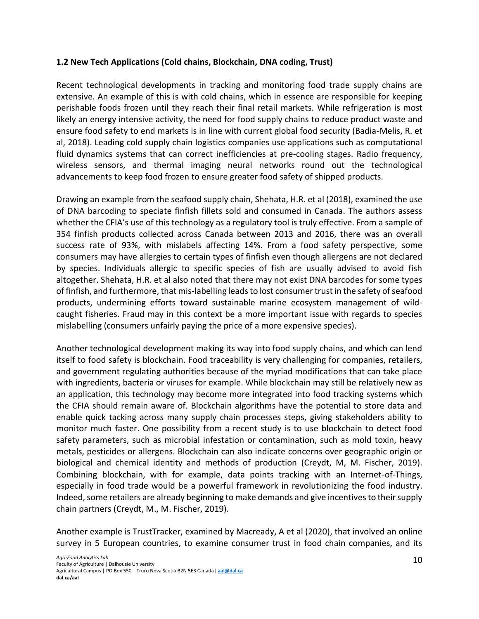#### <span id="page-10-0"></span>**1.2 New Tech Applications (Cold chains, Blockchain, DNA coding, Trust)**

Recent technological developments in tracking and monitoring food trade supply chains are extensive. An example of this is with cold chains, which in essence are responsible for keeping perishable foods frozen until they reach their final retail markets. While refrigeration is most likely an energy intensive activity, the need for food supply chains to reduce product waste and ensure food safety to end markets is in line with current global food security (Badia-Melis, R. et al, 2018). Leading cold supply chain logistics companies use applications such as computational fluid dynamics systems that can correct inefficiencies at pre-cooling stages. Radio frequency, wireless sensors, and thermal imaging neural networks round out the technological advancements to keep food frozen to ensure greater food safety of shipped products.

Drawing an example from the seafood supply chain, Shehata, H.R. et al (2018), examined the use of DNA barcoding to speciate finfish fillets sold and consumed in Canada. The authors assess whether the CFIA's use of this technology as a regulatory tool is truly effective. From a sample of 354 finfish products collected across Canada between 2013 and 2016, there was an overall success rate of 93%, with mislabels affecting 14%. From a food safety perspective, some consumers may have allergies to certain types of finfish even though allergens are not declared by species. Individuals allergic to specific species of fish are usually advised to avoid fish altogether. Shehata, H.R. et al also noted that there may not exist DNA barcodes for some types of finfish, and furthermore, that mis-labelling leads to lost consumer trust in the safety of seafood products, undermining efforts toward sustainable marine ecosystem management of wildcaught fisheries. Fraud may in this context be a more important issue with regards to species mislabelling (consumers unfairly paying the price of a more expensive species).

Another technological development making its way into food supply chains, and which can lend itself to food safety is blockchain. Food traceability is very challenging for companies, retailers, and government regulating authorities because of the myriad modifications that can take place with ingredients, bacteria or viruses for example. While blockchain may still be relatively new as an application, this technology may become more integrated into food tracking systems which the CFIA should remain aware of. Blockchain algorithms have the potential to store data and enable quick tacking across many supply chain processes steps, giving stakeholders ability to monitor much faster. One possibility from a recent study is to use blockchain to detect food safety parameters, such as microbial infestation or contamination, such as mold toxin, heavy metals, pesticides or allergens. Blockchain can also indicate concerns over geographic origin or biological and chemical identity and methods of production (Creydt, M, M. Fischer, 2019). Combining blockchain, with for example, data points tracking with an Internet-of-Things, especially in food trade would be a powerful framework in revolutionizing the food industry. Indeed, some retailers are already beginning to make demands and give incentives to their supply chain partners (Creydt, M., M. Fischer, 2019).

Another example is TrustTracker, examined by Macready, A et al (2020), that involved an online survey in 5 European countries, to examine consumer trust in food chain companies, and its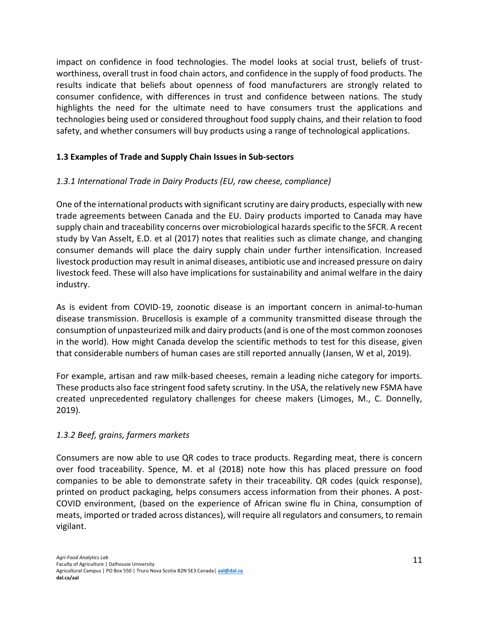impact on confidence in food technologies. The model looks at social trust, beliefs of trustworthiness, overall trust in food chain actors, and confidence in the supply of food products. The results indicate that beliefs about openness of food manufacturers are strongly related to consumer confidence, with differences in trust and confidence between nations. The study highlights the need for the ultimate need to have consumers trust the applications and technologies being used or considered throughout food supply chains, and their relation to food safety, and whether consumers will buy products using a range of technological applications.

## <span id="page-11-0"></span>**1.3 Examples of Trade and Supply Chain Issues in Sub-sectors**

# <span id="page-11-1"></span>*1.3.1 International Trade in Dairy Products (EU, raw cheese, compliance)*

One of the international products with significant scrutiny are dairy products, especially with new trade agreements between Canada and the EU. Dairy products imported to Canada may have supply chain and traceability concerns over microbiological hazards specific to the SFCR. A recent study by Van Asselt, E.D. et al (2017) notes that realities such as climate change, and changing consumer demands will place the dairy supply chain under further intensification. Increased livestock production may result in animal diseases, antibiotic use and increased pressure on dairy livestock feed. These will also have implications for sustainability and animal welfare in the dairy industry.

As is evident from COVID-19, zoonotic disease is an important concern in animal-to-human disease transmission. Brucellosis is example of a community transmitted disease through the consumption of unpasteurized milk and dairy products (and is one of the most common zoonoses in the world). How might Canada develop the scientific methods to test for this disease, given that considerable numbers of human cases are still reported annually (Jansen, W et al, 2019).

For example, artisan and raw milk-based cheeses, remain a leading niche category for imports. These products also face stringent food safety scrutiny. In the USA, the relatively new FSMA have created unprecedented regulatory challenges for cheese makers (Limoges, M., C. Donnelly, 2019).

## <span id="page-11-2"></span>*1.3.2 Beef, grains, farmers markets*

Consumers are now able to use QR codes to trace products. Regarding meat, there is concern over food traceability. Spence, M. et al (2018) note how this has placed pressure on food companies to be able to demonstrate safety in their traceability. QR codes (quick response), printed on product packaging, helps consumers access information from their phones. A post-COVID environment, (based on the experience of African swine flu in China, consumption of meats, imported or traded across distances), will require all regulators and consumers, to remain vigilant.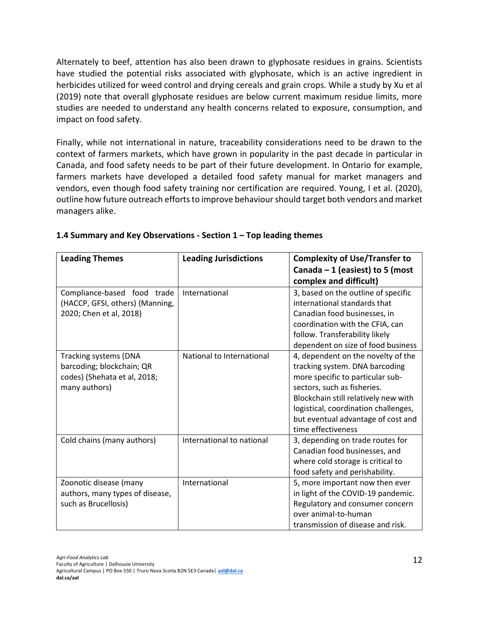Alternately to beef, attention has also been drawn to glyphosate residues in grains. Scientists have studied the potential risks associated with glyphosate, which is an active ingredient in herbicides utilized for weed control and drying cereals and grain crops. While a study by Xu et al (2019) note that overall glyphosate residues are below current maximum residue limits, more studies are needed to understand any health concerns related to exposure, consumption, and impact on food safety.

Finally, while not international in nature, traceability considerations need to be drawn to the context of farmers markets, which have grown in popularity in the past decade in particular in Canada, and food safety needs to be part of their future development. In Ontario for example, farmers markets have developed a detailed food safety manual for market managers and vendors, even though food safety training nor certification are required. Young, I et al. (2020), outline how future outreach efforts to improve behaviour should target both vendors and market managers alike.

| <b>Leading Themes</b>           | <b>Leading Jurisdictions</b> | <b>Complexity of Use/Transfer to</b> |
|---------------------------------|------------------------------|--------------------------------------|
|                                 |                              | Canada $-1$ (easiest) to 5 (most     |
|                                 |                              | complex and difficult)               |
| Compliance-based food trade     | International                | 3, based on the outline of specific  |
| (HACCP, GFSI, others) (Manning, |                              | international standards that         |
| 2020; Chen et al, 2018)         |                              | Canadian food businesses, in         |
|                                 |                              | coordination with the CFIA, can      |
|                                 |                              | follow. Transferability likely       |
|                                 |                              | dependent on size of food business   |
| Tracking systems (DNA           | National to International    | 4, dependent on the novelty of the   |
| barcoding; blockchain; QR       |                              | tracking system. DNA barcoding       |
| codes) (Shehata et al, 2018;    |                              | more specific to particular sub-     |
| many authors)                   |                              | sectors, such as fisheries.          |
|                                 |                              | Blockchain still relatively new with |
|                                 |                              | logistical, coordination challenges, |
|                                 |                              | but eventual advantage of cost and   |
|                                 |                              | time effectiveness                   |
| Cold chains (many authors)      | International to national    | 3, depending on trade routes for     |
|                                 |                              | Canadian food businesses, and        |
|                                 |                              | where cold storage is critical to    |
|                                 |                              | food safety and perishability.       |
| Zoonotic disease (many          | International                | 5, more important now then ever      |
| authors, many types of disease, |                              | in light of the COVID-19 pandemic.   |
| such as Brucellosis)            |                              | Regulatory and consumer concern      |
|                                 |                              | over animal-to-human                 |
|                                 |                              | transmission of disease and risk.    |

## <span id="page-12-0"></span>**1.4 Summary and Key Observations - Section 1 – Top leading themes**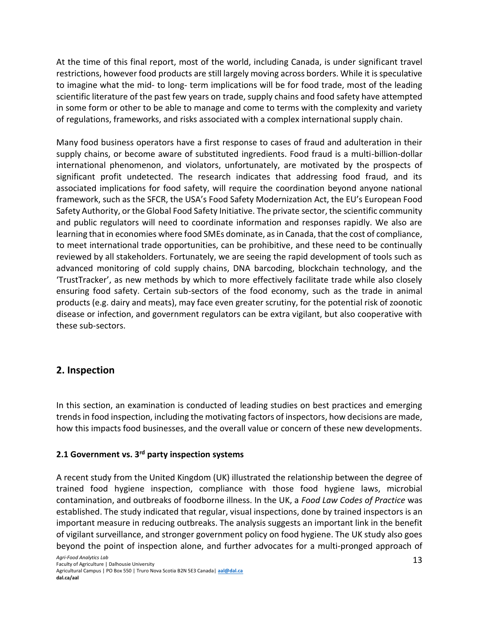At the time of this final report, most of the world, including Canada, is under significant travel restrictions, however food products are still largely moving across borders. While it is speculative to imagine what the mid- to long- term implications will be for food trade, most of the leading scientific literature of the past few years on trade, supply chains and food safety have attempted in some form or other to be able to manage and come to terms with the complexity and variety of regulations, frameworks, and risks associated with a complex international supply chain.

Many food business operators have a first response to cases of fraud and adulteration in their supply chains, or become aware of substituted ingredients. Food fraud is a multi-billion-dollar international phenomenon, and violators, unfortunately, are motivated by the prospects of significant profit undetected. The research indicates that addressing food fraud, and its associated implications for food safety, will require the coordination beyond anyone national framework, such as the SFCR, the USA's Food Safety Modernization Act, the EU's European Food Safety Authority, or the Global Food Safety Initiative. The private sector, the scientific community and public regulators will need to coordinate information and responses rapidly. We also are learning that in economies where food SMEs dominate, as in Canada, that the cost of compliance, to meet international trade opportunities, can be prohibitive, and these need to be continually reviewed by all stakeholders. Fortunately, we are seeing the rapid development of tools such as advanced monitoring of cold supply chains, DNA barcoding, blockchain technology, and the 'TrustTracker', as new methods by which to more effectively facilitate trade while also closely ensuring food safety. Certain sub-sectors of the food economy, such as the trade in animal products (e.g. dairy and meats), may face even greater scrutiny, for the potential risk of zoonotic disease or infection, and government regulators can be extra vigilant, but also cooperative with these sub-sectors.

# <span id="page-13-0"></span>**2. Inspection**

In this section, an examination is conducted of leading studies on best practices and emerging trends in food inspection, including the motivating factors of inspectors, how decisions are made, how this impacts food businesses, and the overall value or concern of these new developments.

# <span id="page-13-1"></span>**2.1 Government vs. 3 rd party inspection systems**

A recent study from the United Kingdom (UK) illustrated the relationship between the degree of trained food hygiene inspection, compliance with those food hygiene laws, microbial contamination, and outbreaks of foodborne illness. In the UK, a *Food Law Codes of Practice* was established. The study indicated that regular, visual inspections, done by trained inspectors is an important measure in reducing outbreaks. The analysis suggests an important link in the benefit of vigilant surveillance, and stronger government policy on food hygiene. The UK study also goes beyond the point of inspection alone, and further advocates for a multi-pronged approach of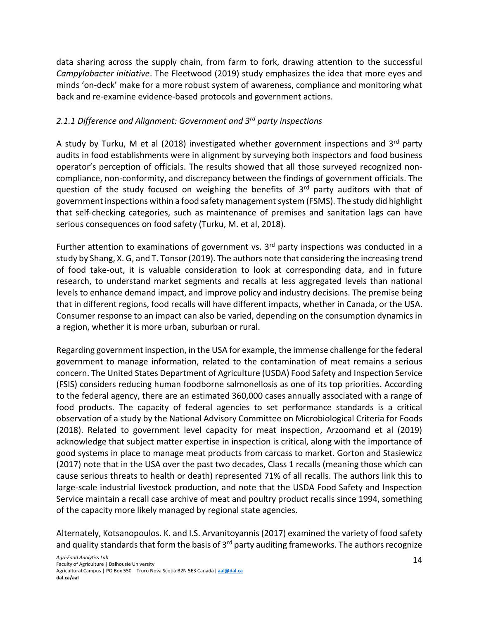data sharing across the supply chain, from farm to fork, drawing attention to the successful *Campylobacter initiative*. The Fleetwood (2019) study emphasizes the idea that more eyes and minds 'on-deck' make for a more robust system of awareness, compliance and monitoring what back and re-examine evidence-based protocols and government actions.

## <span id="page-14-0"></span>*2.1.1 Difference and Alignment: Government and 3rd party inspections*

A study by Turku, M et al (2018) investigated whether government inspections and  $3<sup>rd</sup>$  party audits in food establishments were in alignment by surveying both inspectors and food business operator's perception of officials. The results showed that all those surveyed recognized noncompliance, non-conformity, and discrepancy between the findings of government officials. The question of the study focused on weighing the benefits of 3rd party auditors with that of government inspections within a food safety management system (FSMS). The study did highlight that self-checking categories, such as maintenance of premises and sanitation lags can have serious consequences on food safety (Turku, M. et al, 2018).

Further attention to examinations of government vs.  $3<sup>rd</sup>$  party inspections was conducted in a study by Shang, X. G, and T. Tonsor (2019). The authors note that considering the increasing trend of food take-out, it is valuable consideration to look at corresponding data, and in future research, to understand market segments and recalls at less aggregated levels than national levels to enhance demand impact, and improve policy and industry decisions. The premise being that in different regions, food recalls will have different impacts, whether in Canada, or the USA. Consumer response to an impact can also be varied, depending on the consumption dynamics in a region, whether it is more urban, suburban or rural.

Regarding government inspection, in the USA for example, the immense challenge for the federal government to manage information, related to the contamination of meat remains a serious concern. The United States Department of Agriculture (USDA) Food Safety and Inspection Service (FSIS) considers reducing human foodborne salmonellosis as one of its top priorities. According to the federal agency, there are an estimated 360,000 cases annually associated with a range of food products. The capacity of federal agencies to set performance standards is a critical observation of a study by the National Advisory Committee on Microbiological Criteria for Foods (2018). Related to government level capacity for meat inspection, Arzoomand et al (2019) acknowledge that subject matter expertise in inspection is critical, along with the importance of good systems in place to manage meat products from carcass to market. Gorton and Stasiewicz (2017) note that in the USA over the past two decades, Class 1 recalls (meaning those which can cause serious threats to health or death) represented 71% of all recalls. The authors link this to large-scale industrial livestock production, and note that the USDA Food Safety and Inspection Service maintain a recall case archive of meat and poultry product recalls since 1994, something of the capacity more likely managed by regional state agencies.

Alternately, Kotsanopoulos. K. and I.S. Arvanitoyannis (2017) examined the variety of food safety and quality standards that form the basis of 3<sup>rd</sup> party auditing frameworks. The authors recognize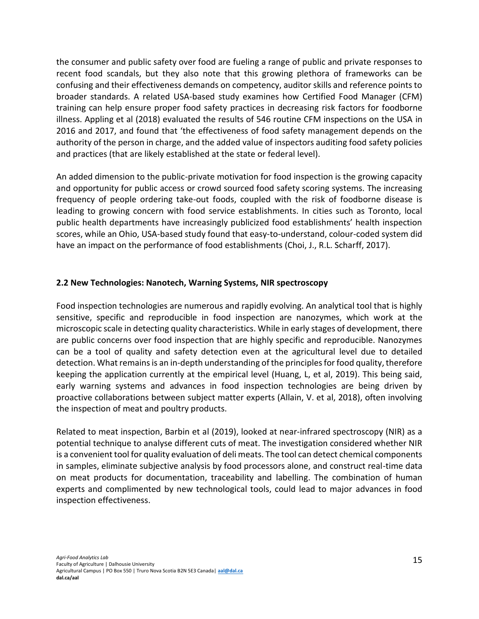the consumer and public safety over food are fueling a range of public and private responses to recent food scandals, but they also note that this growing plethora of frameworks can be confusing and their effectiveness demands on competency, auditor skills and reference points to broader standards. A related USA-based study examines how Certified Food Manager (CFM) training can help ensure proper food safety practices in decreasing risk factors for foodborne illness. Appling et al (2018) evaluated the results of 546 routine CFM inspections on the USA in 2016 and 2017, and found that 'the effectiveness of food safety management depends on the authority of the person in charge, and the added value of inspectors auditing food safety policies and practices (that are likely established at the state or federal level).

An added dimension to the public-private motivation for food inspection is the growing capacity and opportunity for public access or crowd sourced food safety scoring systems. The increasing frequency of people ordering take-out foods, coupled with the risk of foodborne disease is leading to growing concern with food service establishments. In cities such as Toronto, local public health departments have increasingly publicized food establishments' health inspection scores, while an Ohio, USA-based study found that easy-to-understand, colour-coded system did have an impact on the performance of food establishments (Choi, J., R.L. Scharff, 2017).

#### <span id="page-15-0"></span>**2.2 New Technologies: Nanotech, Warning Systems, NIR spectroscopy**

Food inspection technologies are numerous and rapidly evolving. An analytical tool that is highly sensitive, specific and reproducible in food inspection are nanozymes, which work at the microscopic scale in detecting quality characteristics. While in early stages of development, there are public concerns over food inspection that are highly specific and reproducible. Nanozymes can be a tool of quality and safety detection even at the agricultural level due to detailed detection. What remains is an in-depth understanding of the principles for food quality, therefore keeping the application currently at the empirical level (Huang, L, et al, 2019). This being said, early warning systems and advances in food inspection technologies are being driven by proactive collaborations between subject matter experts (Allain, V. et al, 2018), often involving the inspection of meat and poultry products.

Related to meat inspection, Barbin et al (2019), looked at near-infrared spectroscopy (NIR) as a potential technique to analyse different cuts of meat. The investigation considered whether NIR is a convenient tool for quality evaluation of deli meats. The tool can detect chemical components in samples, eliminate subjective analysis by food processors alone, and construct real-time data on meat products for documentation, traceability and labelling. The combination of human experts and complimented by new technological tools, could lead to major advances in food inspection effectiveness.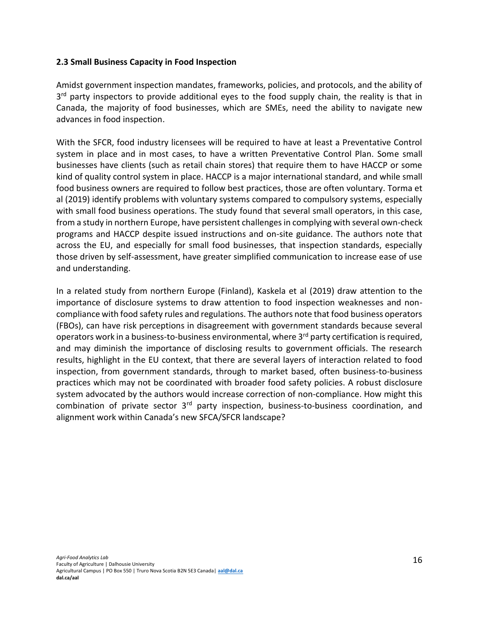#### <span id="page-16-0"></span>**2.3 Small Business Capacity in Food Inspection**

Amidst government inspection mandates, frameworks, policies, and protocols, and the ability of 3<sup>rd</sup> party inspectors to provide additional eyes to the food supply chain, the reality is that in Canada, the majority of food businesses, which are SMEs, need the ability to navigate new advances in food inspection.

With the SFCR, food industry licensees will be required to have at least a Preventative Control system in place and in most cases, to have a written Preventative Control Plan. Some small businesses have clients (such as retail chain stores) that require them to have HACCP or some kind of quality control system in place. HACCP is a major international standard, and while small food business owners are required to follow best practices, those are often voluntary. Torma et al (2019) identify problems with voluntary systems compared to compulsory systems, especially with small food business operations. The study found that several small operators, in this case, from a study in northern Europe, have persistent challenges in complying with several own-check programs and HACCP despite issued instructions and on-site guidance. The authors note that across the EU, and especially for small food businesses, that inspection standards, especially those driven by self-assessment, have greater simplified communication to increase ease of use and understanding.

In a related study from northern Europe (Finland), Kaskela et al (2019) draw attention to the importance of disclosure systems to draw attention to food inspection weaknesses and noncompliance with food safety rules and regulations. The authors note that food business operators (FBOs), can have risk perceptions in disagreement with government standards because several operators work in a business-to-business environmental, where 3rd party certification is required, and may diminish the importance of disclosing results to government officials. The research results, highlight in the EU context, that there are several layers of interaction related to food inspection, from government standards, through to market based, often business-to-business practices which may not be coordinated with broader food safety policies. A robust disclosure system advocated by the authors would increase correction of non-compliance. How might this combination of private sector 3rd party inspection, business-to-business coordination, and alignment work within Canada's new SFCA/SFCR landscape?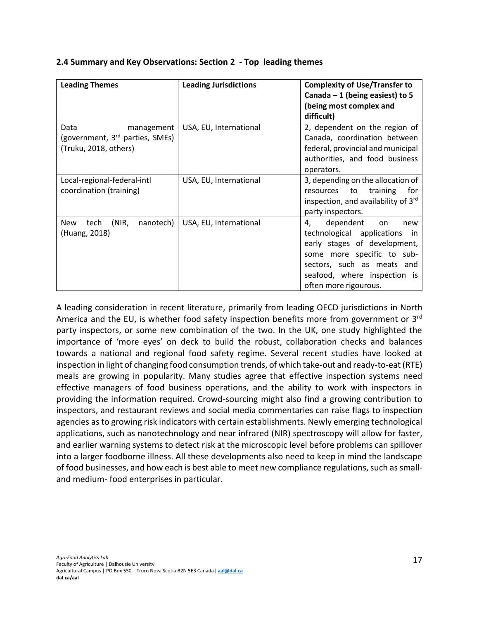| <b>Leading Themes</b>                                                                      | <b>Leading Jurisdictions</b> | <b>Complexity of Use/Transfer to</b><br>Canada $-1$ (being easiest) to 5<br>(being most complex and<br>difficult)                                                                                                      |
|--------------------------------------------------------------------------------------------|------------------------------|------------------------------------------------------------------------------------------------------------------------------------------------------------------------------------------------------------------------|
| Data<br>management<br>(government, 3 <sup>rd</sup> parties, SMEs)<br>(Truku, 2018, others) | USA, EU, International       | 2, dependent on the region of<br>Canada, coordination between<br>federal, provincial and municipal<br>authorities, and food business<br>operators.                                                                     |
| Local-regional-federal-intl<br>coordination (training)                                     | USA, EU, International       | 3, depending on the allocation of<br>resources to<br>training<br>for<br>inspection, and availability of 3rd<br>party inspectors.                                                                                       |
| (NIR,<br>nanotech)<br><b>New</b><br>tech<br>(Huang, 2018)                                  | USA, EU, International       | dependent<br>4,<br>on<br>new<br>technological applications<br>in.<br>early stages of development,<br>some more specific to sub-<br>sectors, such as meats and<br>seafood, where inspection is<br>often more rigourous. |

#### <span id="page-17-0"></span>**2.4 Summary and Key Observations: Section 2 - Top leading themes**

A leading consideration in recent literature, primarily from leading OECD jurisdictions in North America and the EU, is whether food safety inspection benefits more from government or 3<sup>rd</sup> party inspectors, or some new combination of the two. In the UK, one study highlighted the importance of 'more eyes' on deck to build the robust, collaboration checks and balances towards a national and regional food safety regime. Several recent studies have looked at inspection in light of changing food consumption trends, of which take-out and ready-to-eat (RTE) meals are growing in popularity. Many studies agree that effective inspection systems need effective managers of food business operations, and the ability to work with inspectors in providing the information required. Crowd-sourcing might also find a growing contribution to inspectors, and restaurant reviews and social media commentaries can raise flags to inspection agencies as to growing risk indicators with certain establishments. Newly emerging technological applications, such as nanotechnology and near infrared (NIR) spectroscopy will allow for faster, and earlier warning systems to detect risk at the microscopic level before problems can spillover into a larger foodborne illness. All these developments also need to keep in mind the landscape of food businesses, and how each is best able to meet new compliance regulations, such as smalland medium- food enterprises in particular.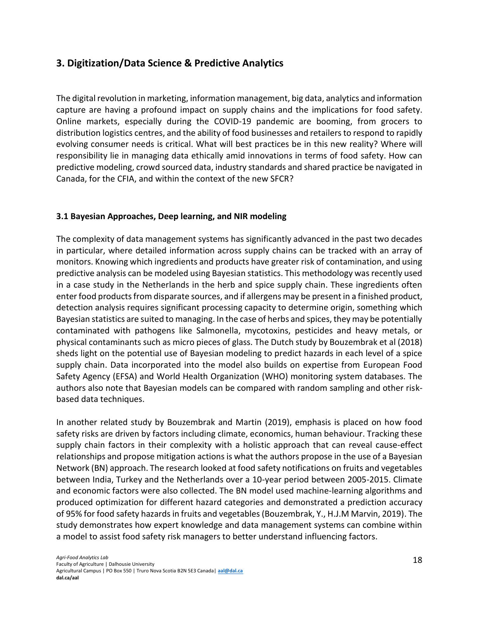# <span id="page-18-0"></span>**3. Digitization/Data Science & Predictive Analytics**

The digital revolution in marketing, information management, big data, analytics and information capture are having a profound impact on supply chains and the implications for food safety. Online markets, especially during the COVID-19 pandemic are booming, from grocers to distribution logistics centres, and the ability of food businesses and retailers to respond to rapidly evolving consumer needs is critical. What will best practices be in this new reality? Where will responsibility lie in managing data ethically amid innovations in terms of food safety. How can predictive modeling, crowd sourced data, industry standards and shared practice be navigated in Canada, for the CFIA, and within the context of the new SFCR?

#### <span id="page-18-1"></span>**3.1 Bayesian Approaches, Deep learning, and NIR modeling**

The complexity of data management systems has significantly advanced in the past two decades in particular, where detailed information across supply chains can be tracked with an array of monitors. Knowing which ingredients and products have greater risk of contamination, and using predictive analysis can be modeled using Bayesian statistics. This methodology was recently used in a case study in the Netherlands in the herb and spice supply chain. These ingredients often enter food products from disparate sources, and if allergens may be present in a finished product, detection analysis requires significant processing capacity to determine origin, something which Bayesian statistics are suited to managing. In the case of herbs and spices, they may be potentially contaminated with pathogens like Salmonella, mycotoxins, pesticides and heavy metals, or physical contaminants such as micro pieces of glass. The Dutch study by Bouzembrak et al (2018) sheds light on the potential use of Bayesian modeling to predict hazards in each level of a spice supply chain. Data incorporated into the model also builds on expertise from European Food Safety Agency (EFSA) and World Health Organization (WHO) monitoring system databases. The authors also note that Bayesian models can be compared with random sampling and other riskbased data techniques.

In another related study by Bouzembrak and Martin (2019), emphasis is placed on how food safety risks are driven by factors including climate, economics, human behaviour. Tracking these supply chain factors in their complexity with a holistic approach that can reveal cause-effect relationships and propose mitigation actions is what the authors propose in the use of a Bayesian Network (BN) approach. The research looked at food safety notifications on fruits and vegetables between India, Turkey and the Netherlands over a 10-year period between 2005-2015. Climate and economic factors were also collected. The BN model used machine-learning algorithms and produced optimization for different hazard categories and demonstrated a prediction accuracy of 95% for food safety hazards in fruits and vegetables (Bouzembrak, Y., H.J.M Marvin, 2019). The study demonstrates how expert knowledge and data management systems can combine within a model to assist food safety risk managers to better understand influencing factors.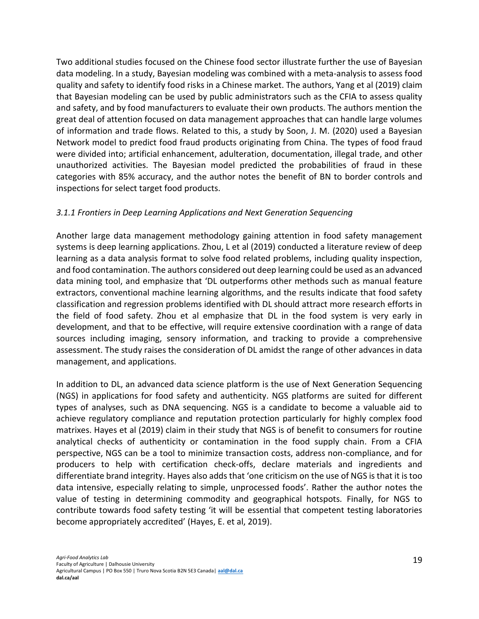Two additional studies focused on the Chinese food sector illustrate further the use of Bayesian data modeling. In a study, Bayesian modeling was combined with a meta-analysis to assess food quality and safety to identify food risks in a Chinese market. The authors, Yang et al (2019) claim that Bayesian modeling can be used by public administrators such as the CFIA to assess quality and safety, and by food manufacturers to evaluate their own products. The authors mention the great deal of attention focused on data management approaches that can handle large volumes of information and trade flows. Related to this, a study by Soon, J. M. (2020) used a Bayesian Network model to predict food fraud products originating from China. The types of food fraud were divided into; artificial enhancement, adulteration, documentation, illegal trade, and other unauthorized activities. The Bayesian model predicted the probabilities of fraud in these categories with 85% accuracy, and the author notes the benefit of BN to border controls and inspections for select target food products.

#### <span id="page-19-0"></span>*3.1.1 Frontiers in Deep Learning Applications and Next Generation Sequencing*

Another large data management methodology gaining attention in food safety management systems is deep learning applications. Zhou, L et al (2019) conducted a literature review of deep learning as a data analysis format to solve food related problems, including quality inspection, and food contamination. The authors considered out deep learning could be used as an advanced data mining tool, and emphasize that 'DL outperforms other methods such as manual feature extractors, conventional machine learning algorithms, and the results indicate that food safety classification and regression problems identified with DL should attract more research efforts in the field of food safety. Zhou et al emphasize that DL in the food system is very early in development, and that to be effective, will require extensive coordination with a range of data sources including imaging, sensory information, and tracking to provide a comprehensive assessment. The study raises the consideration of DL amidst the range of other advances in data management, and applications.

In addition to DL, an advanced data science platform is the use of Next Generation Sequencing (NGS) in applications for food safety and authenticity. NGS platforms are suited for different types of analyses, such as DNA sequencing. NGS is a candidate to become a valuable aid to achieve regulatory compliance and reputation protection particularly for highly complex food matrixes. Hayes et al (2019) claim in their study that NGS is of benefit to consumers for routine analytical checks of authenticity or contamination in the food supply chain. From a CFIA perspective, NGS can be a tool to minimize transaction costs, address non-compliance, and for producers to help with certification check-offs, declare materials and ingredients and differentiate brand integrity. Hayes also adds that 'one criticism on the use of NGS is that it is too data intensive, especially relating to simple, unprocessed foods'. Rather the author notes the value of testing in determining commodity and geographical hotspots. Finally, for NGS to contribute towards food safety testing 'it will be essential that competent testing laboratories become appropriately accredited' (Hayes, E. et al, 2019).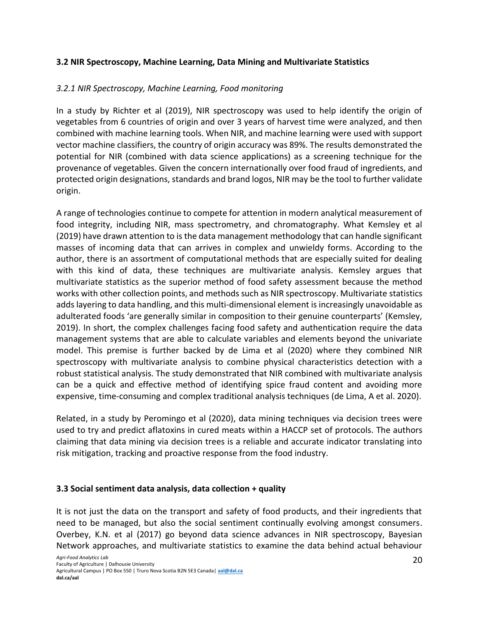#### <span id="page-20-0"></span>**3.2 NIR Spectroscopy, Machine Learning, Data Mining and Multivariate Statistics**

#### <span id="page-20-1"></span>*3.2.1 NIR Spectroscopy, Machine Learning, Food monitoring*

In a study by Richter et al (2019), NIR spectroscopy was used to help identify the origin of vegetables from 6 countries of origin and over 3 years of harvest time were analyzed, and then combined with machine learning tools. When NIR, and machine learning were used with support vector machine classifiers, the country of origin accuracy was 89%. The results demonstrated the potential for NIR (combined with data science applications) as a screening technique for the provenance of vegetables. Given the concern internationally over food fraud of ingredients, and protected origin designations, standards and brand logos, NIR may be the tool to further validate origin.

A range of technologies continue to compete for attention in modern analytical measurement of food integrity, including NIR, mass spectrometry, and chromatography. What Kemsley et al (2019) have drawn attention to is the data management methodology that can handle significant masses of incoming data that can arrives in complex and unwieldy forms. According to the author, there is an assortment of computational methods that are especially suited for dealing with this kind of data, these techniques are multivariate analysis. Kemsley argues that multivariate statistics as the superior method of food safety assessment because the method works with other collection points, and methods such as NIR spectroscopy. Multivariate statistics adds layering to data handling, and this multi-dimensional element is increasingly unavoidable as adulterated foods 'are generally similar in composition to their genuine counterparts' (Kemsley, 2019). In short, the complex challenges facing food safety and authentication require the data management systems that are able to calculate variables and elements beyond the univariate model. This premise is further backed by de Lima et al (2020) where they combined NIR spectroscopy with multivariate analysis to combine physical characteristics detection with a robust statistical analysis. The study demonstrated that NIR combined with multivariate analysis can be a quick and effective method of identifying spice fraud content and avoiding more expensive, time-consuming and complex traditional analysis techniques (de Lima, A et al. 2020).

Related, in a study by Peromingo et al (2020), data mining techniques via decision trees were used to try and predict aflatoxins in cured meats within a HACCP set of protocols. The authors claiming that data mining via decision trees is a reliable and accurate indicator translating into risk mitigation, tracking and proactive response from the food industry.

#### <span id="page-20-2"></span>**3.3 Social sentiment data analysis, data collection + quality**

It is not just the data on the transport and safety of food products, and their ingredients that need to be managed, but also the social sentiment continually evolving amongst consumers. Overbey, K.N. et al (2017) go beyond data science advances in NIR spectroscopy, Bayesian Network approaches, and multivariate statistics to examine the data behind actual behaviour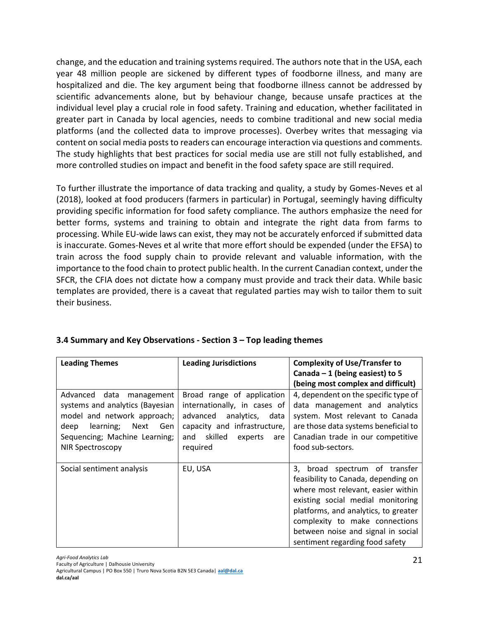change, and the education and training systems required. The authors note that in the USA, each year 48 million people are sickened by different types of foodborne illness, and many are hospitalized and die. The key argument being that foodborne illness cannot be addressed by scientific advancements alone, but by behaviour change, because unsafe practices at the individual level play a crucial role in food safety. Training and education, whether facilitated in greater part in Canada by local agencies, needs to combine traditional and new social media platforms (and the collected data to improve processes). Overbey writes that messaging via content on social media posts to readers can encourage interaction via questions and comments. The study highlights that best practices for social media use are still not fully established, and more controlled studies on impact and benefit in the food safety space are still required.

To further illustrate the importance of data tracking and quality, a study by Gomes-Neves et al (2018), looked at food producers (farmers in particular) in Portugal, seemingly having difficulty providing specific information for food safety compliance. The authors emphasize the need for better forms, systems and training to obtain and integrate the right data from farms to processing. While EU-wide laws can exist, they may not be accurately enforced if submitted data is inaccurate. Gomes-Neves et al write that more effort should be expended (under the EFSA) to train across the food supply chain to provide relevant and valuable information, with the importance to the food chain to protect public health. In the current Canadian context, under the SFCR, the CFIA does not dictate how a company must provide and track their data. While basic templates are provided, there is a caveat that regulated parties may wish to tailor them to suit their business.

| <b>Leading Themes</b>            | <b>Leading Jurisdictions</b>     | <b>Complexity of Use/Transfer to</b> |
|----------------------------------|----------------------------------|--------------------------------------|
|                                  |                                  | Canada $-1$ (being easiest) to 5     |
|                                  |                                  | (being most complex and difficult)   |
| Advanced data<br>management      | Broad range of application       | 4, dependent on the specific type of |
| systems and analytics (Bayesian  | internationally, in cases of     | data management and analytics        |
| model and network approach;      | advanced<br>analytics,<br>data   | system. Most relevant to Canada      |
| Next<br>deep<br>learning;<br>Gen | capacity and infrastructure,     | are those data systems beneficial to |
| Sequencing; Machine Learning;    | skilled<br>and<br>experts<br>are | Canadian trade in our competitive    |
| <b>NIR Spectroscopy</b>          | required                         | food sub-sectors.                    |
|                                  |                                  |                                      |
| Social sentiment analysis        | EU, USA                          | 3, broad spectrum of transfer        |
|                                  |                                  | feasibility to Canada, depending on  |
|                                  |                                  | where most relevant, easier within   |
|                                  |                                  | existing social medial monitoring    |
|                                  |                                  | platforms, and analytics, to greater |
|                                  |                                  | complexity to make connections       |
|                                  |                                  | between noise and signal in social   |
|                                  |                                  | sentiment regarding food safety      |

## <span id="page-21-0"></span>**3.4 Summary and Key Observations - Section 3 – Top leading themes**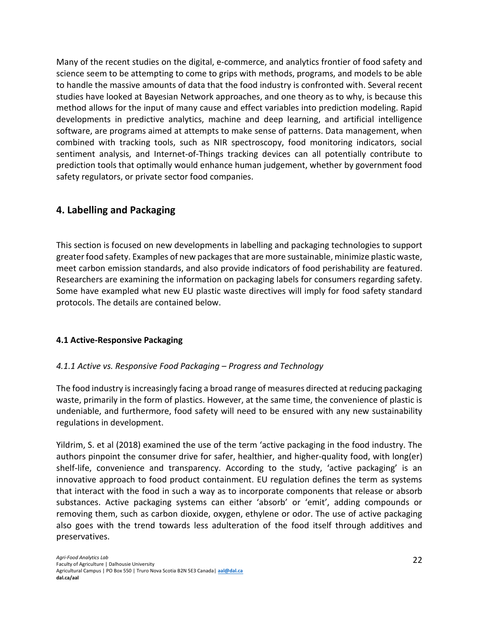Many of the recent studies on the digital, e-commerce, and analytics frontier of food safety and science seem to be attempting to come to grips with methods, programs, and models to be able to handle the massive amounts of data that the food industry is confronted with. Several recent studies have looked at Bayesian Network approaches, and one theory as to why, is because this method allows for the input of many cause and effect variables into prediction modeling. Rapid developments in predictive analytics, machine and deep learning, and artificial intelligence software, are programs aimed at attempts to make sense of patterns. Data management, when combined with tracking tools, such as NIR spectroscopy, food monitoring indicators, social sentiment analysis, and Internet-of-Things tracking devices can all potentially contribute to prediction tools that optimally would enhance human judgement, whether by government food safety regulators, or private sector food companies.

# <span id="page-22-0"></span>**4. Labelling and Packaging**

This section is focused on new developments in labelling and packaging technologies to support greater food safety. Examples of new packages that are more sustainable, minimize plastic waste, meet carbon emission standards, and also provide indicators of food perishability are featured. Researchers are examining the information on packaging labels for consumers regarding safety. Some have exampled what new EU plastic waste directives will imply for food safety standard protocols. The details are contained below.

## <span id="page-22-1"></span>**4.1 Active-Responsive Packaging**

## <span id="page-22-2"></span>*4.1.1 Active vs. Responsive Food Packaging – Progress and Technology*

The food industry is increasingly facing a broad range of measures directed at reducing packaging waste, primarily in the form of plastics. However, at the same time, the convenience of plastic is undeniable, and furthermore, food safety will need to be ensured with any new sustainability regulations in development.

Yildrim, S. et al (2018) examined the use of the term 'active packaging in the food industry. The authors pinpoint the consumer drive for safer, healthier, and higher-quality food, with long(er) shelf-life, convenience and transparency. According to the study, 'active packaging' is an innovative approach to food product containment. EU regulation defines the term as systems that interact with the food in such a way as to incorporate components that release or absorb substances. Active packaging systems can either 'absorb' or 'emit', adding compounds or removing them, such as carbon dioxide, oxygen, ethylene or odor. The use of active packaging also goes with the trend towards less adulteration of the food itself through additives and preservatives.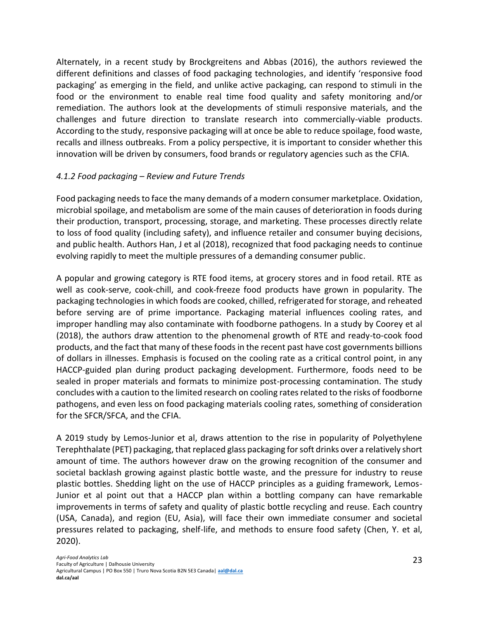Alternately, in a recent study by Brockgreitens and Abbas (2016), the authors reviewed the different definitions and classes of food packaging technologies, and identify 'responsive food packaging' as emerging in the field, and unlike active packaging, can respond to stimuli in the food or the environment to enable real time food quality and safety monitoring and/or remediation. The authors look at the developments of stimuli responsive materials, and the challenges and future direction to translate research into commercially-viable products. According to the study, responsive packaging will at once be able to reduce spoilage, food waste, recalls and illness outbreaks. From a policy perspective, it is important to consider whether this innovation will be driven by consumers, food brands or regulatory agencies such as the CFIA.

# <span id="page-23-0"></span>*4.1.2 Food packaging – Review and Future Trends*

Food packaging needs to face the many demands of a modern consumer marketplace. Oxidation, microbial spoilage, and metabolism are some of the main causes of deterioration in foods during their production, transport, processing, storage, and marketing. These processes directly relate to loss of food quality (including safety), and influence retailer and consumer buying decisions, and public health. Authors Han, J et al (2018), recognized that food packaging needs to continue evolving rapidly to meet the multiple pressures of a demanding consumer public.

A popular and growing category is RTE food items, at grocery stores and in food retail. RTE as well as cook-serve, cook-chill, and cook-freeze food products have grown in popularity. The packaging technologies in which foods are cooked, chilled, refrigerated for storage, and reheated before serving are of prime importance. Packaging material influences cooling rates, and improper handling may also contaminate with foodborne pathogens. In a study by Coorey et al (2018), the authors draw attention to the phenomenal growth of RTE and ready-to-cook food products, and the fact that many of these foods in the recent past have cost governments billions of dollars in illnesses. Emphasis is focused on the cooling rate as a critical control point, in any HACCP-guided plan during product packaging development. Furthermore, foods need to be sealed in proper materials and formats to minimize post-processing contamination. The study concludes with a caution to the limited research on cooling rates related to the risks of foodborne pathogens, and even less on food packaging materials cooling rates, something of consideration for the SFCR/SFCA, and the CFIA.

A 2019 study by Lemos-Junior et al, draws attention to the rise in popularity of Polyethylene Terephthalate (PET) packaging, that replaced glass packaging for soft drinks over a relatively short amount of time. The authors however draw on the growing recognition of the consumer and societal backlash growing against plastic bottle waste, and the pressure for industry to reuse plastic bottles. Shedding light on the use of HACCP principles as a guiding framework, Lemos-Junior et al point out that a HACCP plan within a bottling company can have remarkable improvements in terms of safety and quality of plastic bottle recycling and reuse. Each country (USA, Canada), and region (EU, Asia), will face their own immediate consumer and societal pressures related to packaging, shelf-life, and methods to ensure food safety (Chen, Y. et al, 2020).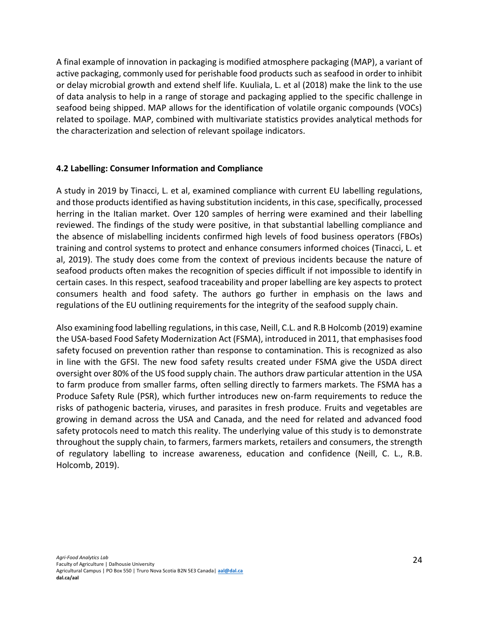A final example of innovation in packaging is modified atmosphere packaging (MAP), a variant of active packaging, commonly used for perishable food products such as seafood in order to inhibit or delay microbial growth and extend shelf life. Kuuliala, L. et al (2018) make the link to the use of data analysis to help in a range of storage and packaging applied to the specific challenge in seafood being shipped. MAP allows for the identification of volatile organic compounds (VOCs) related to spoilage. MAP, combined with multivariate statistics provides analytical methods for the characterization and selection of relevant spoilage indicators.

## <span id="page-24-0"></span>**4.2 Labelling: Consumer Information and Compliance**

A study in 2019 by Tinacci, L. et al, examined compliance with current EU labelling regulations, and those products identified as having substitution incidents, in this case, specifically, processed herring in the Italian market. Over 120 samples of herring were examined and their labelling reviewed. The findings of the study were positive, in that substantial labelling compliance and the absence of mislabelling incidents confirmed high levels of food business operators (FBOs) training and control systems to protect and enhance consumers informed choices (Tinacci, L. et al, 2019). The study does come from the context of previous incidents because the nature of seafood products often makes the recognition of species difficult if not impossible to identify in certain cases. In this respect, seafood traceability and proper labelling are key aspects to protect consumers health and food safety. The authors go further in emphasis on the laws and regulations of the EU outlining requirements for the integrity of the seafood supply chain.

Also examining food labelling regulations, in this case, Neill, C.L. and R.B Holcomb (2019) examine the USA-based Food Safety Modernization Act (FSMA), introduced in 2011, that emphasises food safety focused on prevention rather than response to contamination. This is recognized as also in line with the GFSI. The new food safety results created under FSMA give the USDA direct oversight over 80% of the US food supply chain. The authors draw particular attention in the USA to farm produce from smaller farms, often selling directly to farmers markets. The FSMA has a Produce Safety Rule (PSR), which further introduces new on-farm requirements to reduce the risks of pathogenic bacteria, viruses, and parasites in fresh produce. Fruits and vegetables are growing in demand across the USA and Canada, and the need for related and advanced food safety protocols need to match this reality. The underlying value of this study is to demonstrate throughout the supply chain, to farmers, farmers markets, retailers and consumers, the strength of regulatory labelling to increase awareness, education and confidence (Neill, C. L., R.B. Holcomb, 2019).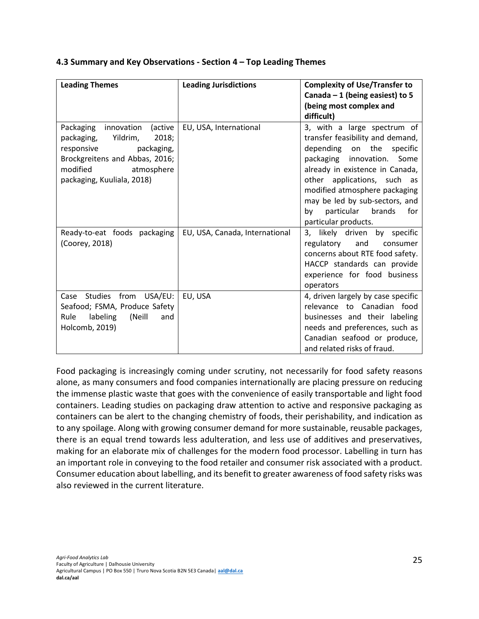| <b>Leading Themes</b>              | <b>Leading Jurisdictions</b>   | <b>Complexity of Use/Transfer to</b> |
|------------------------------------|--------------------------------|--------------------------------------|
|                                    |                                | Canada $-1$ (being easiest) to 5     |
|                                    |                                | (being most complex and              |
|                                    |                                | difficult)                           |
| innovation<br>(active<br>Packaging | EU, USA, International         | 3, with a large spectrum of          |
| Yildrim,<br>2018;<br>packaging,    |                                | transfer feasibility and demand,     |
| responsive<br>packaging,           |                                | depending on the specific            |
| Brockgreitens and Abbas, 2016;     |                                | packaging innovation.<br>Some        |
| modified<br>atmosphere             |                                | already in existence in Canada,      |
| packaging, Kuuliala, 2018)         |                                | other applications, such as          |
|                                    |                                | modified atmosphere packaging        |
|                                    |                                | may be led by sub-sectors, and       |
|                                    |                                | particular brands<br>for<br>by       |
|                                    |                                | particular products.                 |
| Ready-to-eat foods packaging       | EU, USA, Canada, International | 3, likely driven by specific         |
| (Coorey, 2018)                     |                                | regulatory<br>and<br>consumer        |
|                                    |                                | concerns about RTE food safety.      |
|                                    |                                | HACCP standards can provide          |
|                                    |                                | experience for food business         |
|                                    |                                | operators                            |
| Case Studies from USA/EU:          | EU, USA                        | 4, driven largely by case specific   |
| Seafood; FSMA, Produce Safety      |                                | relevance to Canadian food           |
| Rule<br>labeling<br>(Neill<br>and  |                                | businesses and their labeling        |
| Holcomb, 2019)                     |                                | needs and preferences, such as       |
|                                    |                                | Canadian seafood or produce,         |
|                                    |                                | and related risks of fraud.          |

#### **4.3 Summary and Key Observations - Section 4 – Top Leading Themes**

Food packaging is increasingly coming under scrutiny, not necessarily for food safety reasons alone, as many consumers and food companies internationally are placing pressure on reducing the immense plastic waste that goes with the convenience of easily transportable and light food containers. Leading studies on packaging draw attention to active and responsive packaging as containers can be alert to the changing chemistry of foods, their perishability, and indication as to any spoilage. Along with growing consumer demand for more sustainable, reusable packages, there is an equal trend towards less adulteration, and less use of additives and preservatives, making for an elaborate mix of challenges for the modern food processor. Labelling in turn has an important role in conveying to the food retailer and consumer risk associated with a product. Consumer education about labelling, and its benefit to greater awareness of food safety risks was also reviewed in the current literature.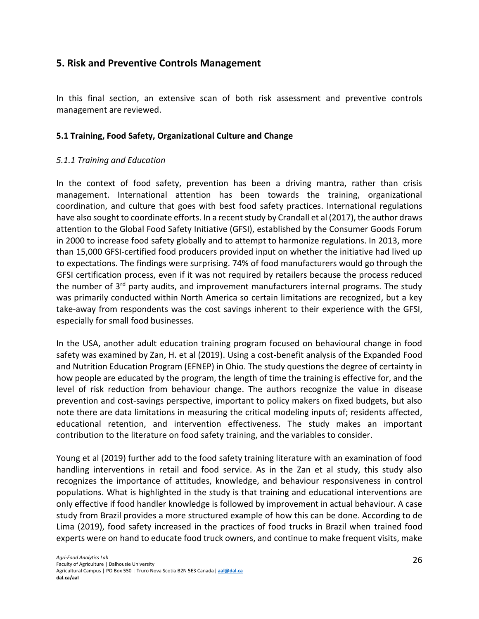# <span id="page-26-0"></span>**5. Risk and Preventive Controls Management**

In this final section, an extensive scan of both risk assessment and preventive controls management are reviewed.

#### <span id="page-26-1"></span>**5.1 Training, Food Safety, Organizational Culture and Change**

#### <span id="page-26-2"></span>*5.1.1 Training and Education*

In the context of food safety, prevention has been a driving mantra, rather than crisis management. International attention has been towards the training, organizational coordination, and culture that goes with best food safety practices. International regulations have also sought to coordinate efforts. In a recent study by Crandall et al (2017), the author draws attention to the Global Food Safety Initiative (GFSI), established by the Consumer Goods Forum in 2000 to increase food safety globally and to attempt to harmonize regulations. In 2013, more than 15,000 GFSI-certified food producers provided input on whether the initiative had lived up to expectations. The findings were surprising. 74% of food manufacturers would go through the GFSI certification process, even if it was not required by retailers because the process reduced the number of 3<sup>rd</sup> party audits, and improvement manufacturers internal programs. The study was primarily conducted within North America so certain limitations are recognized, but a key take-away from respondents was the cost savings inherent to their experience with the GFSI, especially for small food businesses.

In the USA, another adult education training program focused on behavioural change in food safety was examined by Zan, H. et al (2019). Using a cost-benefit analysis of the Expanded Food and Nutrition Education Program (EFNEP) in Ohio. The study questions the degree of certainty in how people are educated by the program, the length of time the training is effective for, and the level of risk reduction from behaviour change. The authors recognize the value in disease prevention and cost-savings perspective, important to policy makers on fixed budgets, but also note there are data limitations in measuring the critical modeling inputs of; residents affected, educational retention, and intervention effectiveness. The study makes an important contribution to the literature on food safety training, and the variables to consider.

Young et al (2019) further add to the food safety training literature with an examination of food handling interventions in retail and food service. As in the Zan et al study, this study also recognizes the importance of attitudes, knowledge, and behaviour responsiveness in control populations. What is highlighted in the study is that training and educational interventions are only effective if food handler knowledge is followed by improvement in actual behaviour. A case study from Brazil provides a more structured example of how this can be done. According to de Lima (2019), food safety increased in the practices of food trucks in Brazil when trained food experts were on hand to educate food truck owners, and continue to make frequent visits, make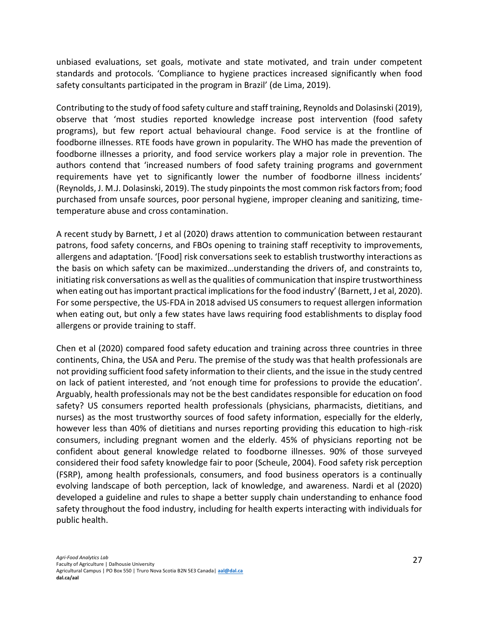unbiased evaluations, set goals, motivate and state motivated, and train under competent standards and protocols. 'Compliance to hygiene practices increased significantly when food safety consultants participated in the program in Brazil' (de Lima, 2019).

Contributing to the study of food safety culture and staff training, Reynolds and Dolasinski (2019), observe that 'most studies reported knowledge increase post intervention (food safety programs), but few report actual behavioural change. Food service is at the frontline of foodborne illnesses. RTE foods have grown in popularity. The WHO has made the prevention of foodborne illnesses a priority, and food service workers play a major role in prevention. The authors contend that 'increased numbers of food safety training programs and government requirements have yet to significantly lower the number of foodborne illness incidents' (Reynolds, J. M.J. Dolasinski, 2019). The study pinpoints the most common risk factors from; food purchased from unsafe sources, poor personal hygiene, improper cleaning and sanitizing, timetemperature abuse and cross contamination.

A recent study by Barnett, J et al (2020) draws attention to communication between restaurant patrons, food safety concerns, and FBOs opening to training staff receptivity to improvements, allergens and adaptation. '[Food] risk conversations seek to establish trustworthy interactions as the basis on which safety can be maximized…understanding the drivers of, and constraints to, initiating risk conversations as well as the qualities of communication that inspire trustworthiness when eating out has important practical implications for the food industry' (Barnett, J et al, 2020). For some perspective, the US-FDA in 2018 advised US consumers to request allergen information when eating out, but only a few states have laws requiring food establishments to display food allergens or provide training to staff.

Chen et al (2020) compared food safety education and training across three countries in three continents, China, the USA and Peru. The premise of the study was that health professionals are not providing sufficient food safety information to their clients, and the issue in the study centred on lack of patient interested, and 'not enough time for professions to provide the education'. Arguably, health professionals may not be the best candidates responsible for education on food safety? US consumers reported health professionals (physicians, pharmacists, dietitians, and nurses) as the most trustworthy sources of food safety information, especially for the elderly, however less than 40% of dietitians and nurses reporting providing this education to high-risk consumers, including pregnant women and the elderly. 45% of physicians reporting not be confident about general knowledge related to foodborne illnesses. 90% of those surveyed considered their food safety knowledge fair to poor (Scheule, 2004). Food safety risk perception (FSRP), among health professionals, consumers, and food business operators is a continually evolving landscape of both perception, lack of knowledge, and awareness. Nardi et al (2020) developed a guideline and rules to shape a better supply chain understanding to enhance food safety throughout the food industry, including for health experts interacting with individuals for public health.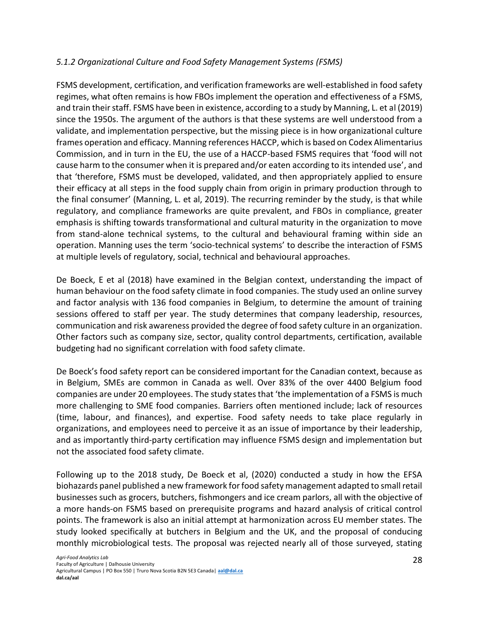## <span id="page-28-0"></span>*5.1.2 Organizational Culture and Food Safety Management Systems (FSMS)*

FSMS development, certification, and verification frameworks are well-established in food safety regimes, what often remains is how FBOs implement the operation and effectiveness of a FSMS, and train their staff. FSMS have been in existence, according to a study by Manning, L. et al (2019) since the 1950s. The argument of the authors is that these systems are well understood from a validate, and implementation perspective, but the missing piece is in how organizational culture frames operation and efficacy. Manning references HACCP, which is based on Codex Alimentarius Commission, and in turn in the EU, the use of a HACCP-based FSMS requires that 'food will not cause harm to the consumer when it is prepared and/or eaten according to its intended use', and that 'therefore, FSMS must be developed, validated, and then appropriately applied to ensure their efficacy at all steps in the food supply chain from origin in primary production through to the final consumer' (Manning, L. et al, 2019). The recurring reminder by the study, is that while regulatory, and compliance frameworks are quite prevalent, and FBOs in compliance, greater emphasis is shifting towards transformational and cultural maturity in the organization to move from stand-alone technical systems, to the cultural and behavioural framing within side an operation. Manning uses the term 'socio-technical systems' to describe the interaction of FSMS at multiple levels of regulatory, social, technical and behavioural approaches.

De Boeck, E et al (2018) have examined in the Belgian context, understanding the impact of human behaviour on the food safety climate in food companies. The study used an online survey and factor analysis with 136 food companies in Belgium, to determine the amount of training sessions offered to staff per year. The study determines that company leadership, resources, communication and risk awareness provided the degree of food safety culture in an organization. Other factors such as company size, sector, quality control departments, certification, available budgeting had no significant correlation with food safety climate.

De Boeck's food safety report can be considered important for the Canadian context, because as in Belgium, SMEs are common in Canada as well. Over 83% of the over 4400 Belgium food companies are under 20 employees. The study states that 'the implementation of a FSMS is much more challenging to SME food companies. Barriers often mentioned include; lack of resources (time, labour, and finances), and expertise. Food safety needs to take place regularly in organizations, and employees need to perceive it as an issue of importance by their leadership, and as importantly third-party certification may influence FSMS design and implementation but not the associated food safety climate.

Following up to the 2018 study, De Boeck et al, (2020) conducted a study in how the EFSA biohazards panel published a new framework for food safety management adapted to small retail businesses such as grocers, butchers, fishmongers and ice cream parlors, all with the objective of a more hands-on FSMS based on prerequisite programs and hazard analysis of critical control points. The framework is also an initial attempt at harmonization across EU member states. The study looked specifically at butchers in Belgium and the UK, and the proposal of conducing monthly microbiological tests. The proposal was rejected nearly all of those surveyed, stating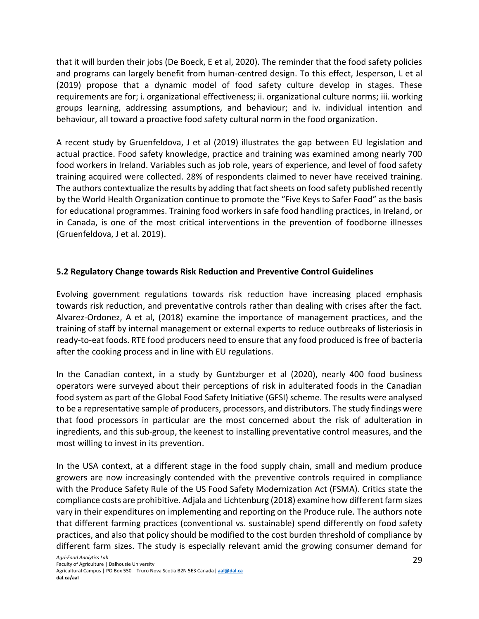that it will burden their jobs (De Boeck, E et al, 2020). The reminder that the food safety policies and programs can largely benefit from human-centred design. To this effect, Jesperson, L et al (2019) propose that a dynamic model of food safety culture develop in stages. These requirements are for; i. organizational effectiveness; ii. organizational culture norms; iii. working groups learning, addressing assumptions, and behaviour; and iv. individual intention and behaviour, all toward a proactive food safety cultural norm in the food organization.

A recent study by Gruenfeldova, J et al (2019) illustrates the gap between EU legislation and actual practice. Food safety knowledge, practice and training was examined among nearly 700 food workers in Ireland. Variables such as job role, years of experience, and level of food safety training acquired were collected. 28% of respondents claimed to never have received training. The authors contextualize the results by adding that fact sheets on food safety published recently by the World Health Organization continue to promote the "Five Keys to Safer Food" as the basis for educational programmes. Training food workers in safe food handling practices, in Ireland, or in Canada, is one of the most critical interventions in the prevention of foodborne illnesses (Gruenfeldova, J et al. 2019).

# <span id="page-29-0"></span>**5.2 Regulatory Change towards Risk Reduction and Preventive Control Guidelines**

Evolving government regulations towards risk reduction have increasing placed emphasis towards risk reduction, and preventative controls rather than dealing with crises after the fact. Alvarez-Ordonez, A et al, (2018) examine the importance of management practices, and the training of staff by internal management or external experts to reduce outbreaks of listeriosis in ready-to-eat foods. RTE food producers need to ensure that any food produced is free of bacteria after the cooking process and in line with EU regulations.

In the Canadian context, in a study by Guntzburger et al (2020), nearly 400 food business operators were surveyed about their perceptions of risk in adulterated foods in the Canadian food system as part of the Global Food Safety Initiative (GFSI) scheme. The results were analysed to be a representative sample of producers, processors, and distributors. The study findings were that food processors in particular are the most concerned about the risk of adulteration in ingredients, and this sub-group, the keenest to installing preventative control measures, and the most willing to invest in its prevention.

In the USA context, at a different stage in the food supply chain, small and medium produce growers are now increasingly contended with the preventive controls required in compliance with the Produce Safety Rule of the US Food Safety Modernization Act (FSMA). Critics state the compliance costs are prohibitive. Adjala and Lichtenburg (2018) examine how different farm sizes vary in their expenditures on implementing and reporting on the Produce rule. The authors note that different farming practices (conventional vs. sustainable) spend differently on food safety practices, and also that policy should be modified to the cost burden threshold of compliance by different farm sizes. The study is especially relevant amid the growing consumer demand for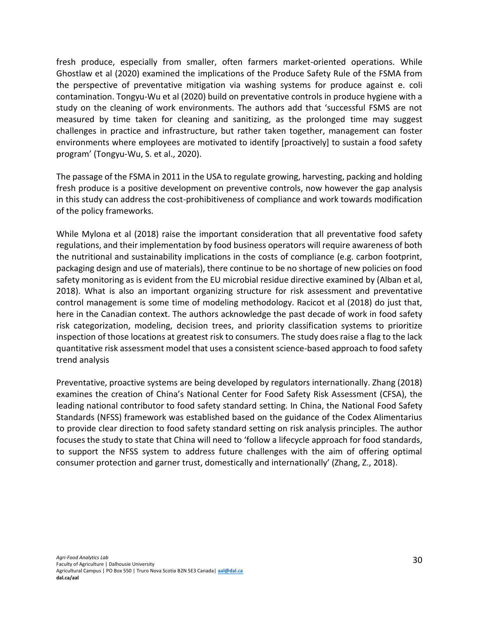fresh produce, especially from smaller, often farmers market-oriented operations. While Ghostlaw et al (2020) examined the implications of the Produce Safety Rule of the FSMA from the perspective of preventative mitigation via washing systems for produce against e. coli contamination. Tongyu-Wu et al (2020) build on preventative controls in produce hygiene with a study on the cleaning of work environments. The authors add that 'successful FSMS are not measured by time taken for cleaning and sanitizing, as the prolonged time may suggest challenges in practice and infrastructure, but rather taken together, management can foster environments where employees are motivated to identify [proactively] to sustain a food safety program' (Tongyu-Wu, S. et al., 2020).

The passage of the FSMA in 2011 in the USA to regulate growing, harvesting, packing and holding fresh produce is a positive development on preventive controls, now however the gap analysis in this study can address the cost-prohibitiveness of compliance and work towards modification of the policy frameworks.

While Mylona et al (2018) raise the important consideration that all preventative food safety regulations, and their implementation by food business operators will require awareness of both the nutritional and sustainability implications in the costs of compliance (e.g. carbon footprint, packaging design and use of materials), there continue to be no shortage of new policies on food safety monitoring as is evident from the EU microbial residue directive examined by (Alban et al, 2018). What is also an important organizing structure for risk assessment and preventative control management is some time of modeling methodology. Racicot et al (2018) do just that, here in the Canadian context. The authors acknowledge the past decade of work in food safety risk categorization, modeling, decision trees, and priority classification systems to prioritize inspection of those locations at greatest risk to consumers. The study does raise a flag to the lack quantitative risk assessment model that uses a consistent science-based approach to food safety trend analysis

Preventative, proactive systems are being developed by regulators internationally. Zhang (2018) examines the creation of China's National Center for Food Safety Risk Assessment (CFSA), the leading national contributor to food safety standard setting. In China, the National Food Safety Standards (NFSS) framework was established based on the guidance of the Codex Alimentarius to provide clear direction to food safety standard setting on risk analysis principles. The author focuses the study to state that China will need to 'follow a lifecycle approach for food standards, to support the NFSS system to address future challenges with the aim of offering optimal consumer protection and garner trust, domestically and internationally' (Zhang, Z., 2018).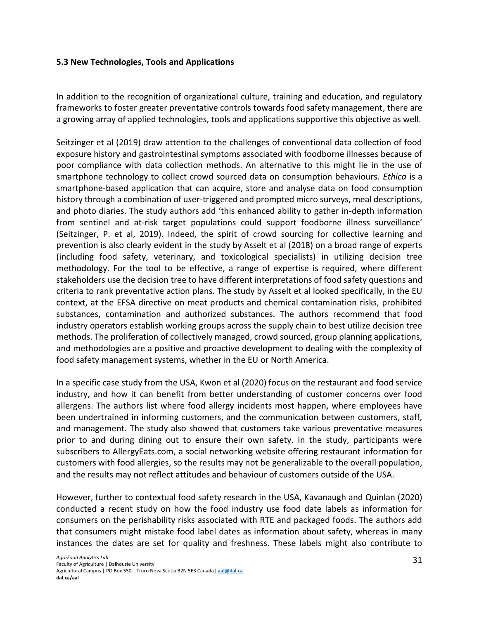#### <span id="page-31-0"></span>**5.3 New Technologies, Tools and Applications**

In addition to the recognition of organizational culture, training and education, and regulatory frameworks to foster greater preventative controls towards food safety management, there are a growing array of applied technologies, tools and applications supportive this objective as well.

Seitzinger et al (2019) draw attention to the challenges of conventional data collection of food exposure history and gastrointestinal symptoms associated with foodborne illnesses because of poor compliance with data collection methods. An alternative to this might lie in the use of smartphone technology to collect crowd sourced data on consumption behaviours. *Ethica* is a smartphone-based application that can acquire, store and analyse data on food consumption history through a combination of user-triggered and prompted micro surveys, meal descriptions, and photo diaries. The study authors add 'this enhanced ability to gather in-depth information from sentinel and at-risk target populations could support foodborne illness surveillance' (Seitzinger, P. et al, 2019). Indeed, the spirit of crowd sourcing for collective learning and prevention is also clearly evident in the study by Asselt et al (2018) on a broad range of experts (including food safety, veterinary, and toxicological specialists) in utilizing decision tree methodology. For the tool to be effective, a range of expertise is required, where different stakeholders use the decision tree to have different interpretations of food safety questions and criteria to rank preventative action plans. The study by Asselt et al looked specifically, in the EU context, at the EFSA directive on meat products and chemical contamination risks, prohibited substances, contamination and authorized substances. The authors recommend that food industry operators establish working groups across the supply chain to best utilize decision tree methods. The proliferation of collectively managed, crowd sourced, group planning applications, and methodologies are a positive and proactive development to dealing with the complexity of food safety management systems, whether in the EU or North America.

In a specific case study from the USA, Kwon et al (2020) focus on the restaurant and food service industry, and how it can benefit from better understanding of customer concerns over food allergens. The authors list where food allergy incidents most happen, where employees have been undertrained in informing customers, and the communication between customers, staff, and management. The study also showed that customers take various preventative measures prior to and during dining out to ensure their own safety. In the study, participants were subscribers to AllergyEats.com, a social networking website offering restaurant information for customers with food allergies, so the results may not be generalizable to the overall population, and the results may not reflect attitudes and behaviour of customers outside of the USA.

However, further to contextual food safety research in the USA, Kavanaugh and Quinlan (2020) conducted a recent study on how the food industry use food date labels as information for consumers on the perishability risks associated with RTE and packaged foods. The authors add that consumers might mistake food label dates as information about safety, whereas in many instances the dates are set for quality and freshness. These labels might also contribute to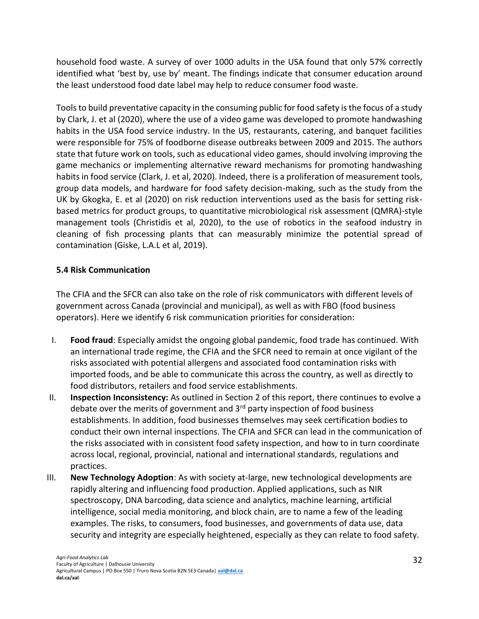household food waste. A survey of over 1000 adults in the USA found that only 57% correctly identified what 'best by, use by' meant. The findings indicate that consumer education around the least understood food date label may help to reduce consumer food waste.

Tools to build preventative capacity in the consuming public for food safety is the focus of a study by Clark, J. et al (2020), where the use of a video game was developed to promote handwashing habits in the USA food service industry. In the US, restaurants, catering, and banquet facilities were responsible for 75% of foodborne disease outbreaks between 2009 and 2015. The authors state that future work on tools, such as educational video games, should involving improving the game mechanics or implementing alternative reward mechanisms for promoting handwashing habits in food service (Clark, J. et al, 2020). Indeed, there is a proliferation of measurement tools, group data models, and hardware for food safety decision-making, such as the study from the UK by Gkogka, E. et al (2020) on risk reduction interventions used as the basis for setting riskbased metrics for product groups, to quantitative microbiological risk assessment (QMRA)-style management tools (Christidis et al, 2020), to the use of robotics in the seafood industry in cleaning of fish processing plants that can measurably minimize the potential spread of contamination (Giske, L.A.L et al, 2019).

## <span id="page-32-0"></span>**5.4 Risk Communication**

The CFIA and the SFCR can also take on the role of risk communicators with different levels of government across Canada (provincial and municipal), as well as with FBO (food business operators). Here we identify 6 risk communication priorities for consideration:

- I. **Food fraud**: Especially amidst the ongoing global pandemic, food trade has continued. With an international trade regime, the CFIA and the SFCR need to remain at once vigilant of the risks associated with potential allergens and associated food contamination risks with imported foods, and be able to communicate this across the country, as well as directly to food distributors, retailers and food service establishments.
- II. **Inspection Inconsistency:** As outlined in Section 2 of this report, there continues to evolve a debate over the merits of government and  $3<sup>rd</sup>$  party inspection of food business establishments. In addition, food businesses themselves may seek certification bodies to conduct their own internal inspections. The CFIA and SFCR can lead in the communication of the risks associated with in consistent food safety inspection, and how to in turn coordinate across local, regional, provincial, national and international standards, regulations and practices.
- III. **New Technology Adoption**: As with society at-large, new technological developments are rapidly altering and influencing food production. Applied applications, such as NIR spectroscopy, DNA barcoding, data science and analytics, machine learning, artificial intelligence, social media monitoring, and block chain, are to name a few of the leading examples. The risks, to consumers, food businesses, and governments of data use, data security and integrity are especially heightened, especially as they can relate to food safety.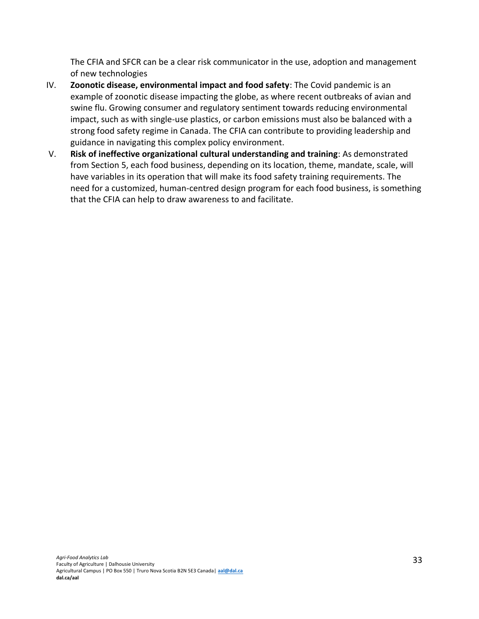The CFIA and SFCR can be a clear risk communicator in the use, adoption and management of new technologies

- IV. **Zoonotic disease, environmental impact and food safety**: The Covid pandemic is an example of zoonotic disease impacting the globe, as where recent outbreaks of avian and swine flu. Growing consumer and regulatory sentiment towards reducing environmental impact, such as with single-use plastics, or carbon emissions must also be balanced with a strong food safety regime in Canada. The CFIA can contribute to providing leadership and guidance in navigating this complex policy environment.
- V. **Risk of ineffective organizational cultural understanding and training**: As demonstrated from Section 5, each food business, depending on its location, theme, mandate, scale, will have variables in its operation that will make its food safety training requirements. The need for a customized, human-centred design program for each food business, is something that the CFIA can help to draw awareness to and facilitate.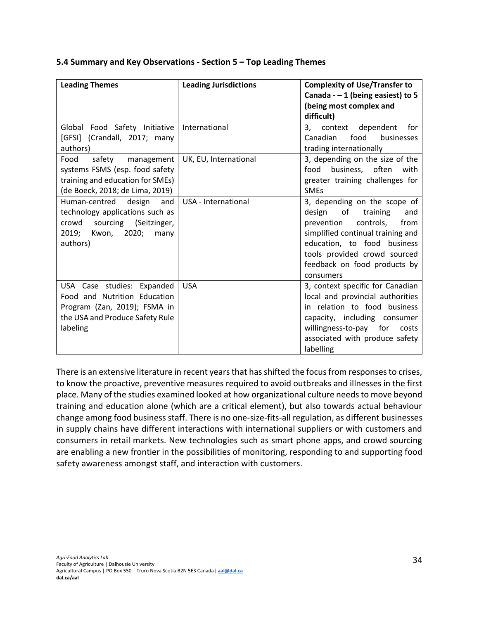| <b>Leading Themes</b>                                                                                                                        | <b>Leading Jurisdictions</b> | <b>Complexity of Use/Transfer to</b><br>Canada - $-1$ (being easiest) to 5<br>(being most complex and<br>difficult)                                                                                                                                 |
|----------------------------------------------------------------------------------------------------------------------------------------------|------------------------------|-----------------------------------------------------------------------------------------------------------------------------------------------------------------------------------------------------------------------------------------------------|
| Global Food Safety Initiative<br>[GFSI] (Crandall, 2017; many<br>authors)                                                                    | International                | context dependent<br>3,<br>for<br>Canadian<br>food<br>businesses<br>trading internationally                                                                                                                                                         |
| safety<br>Food<br>management<br>systems FSMS (esp. food safety<br>training and education for SMEs)<br>(de Boeck, 2018; de Lima, 2019)        | UK, EU, International        | 3, depending on the size of the<br>business, often<br>food<br>with<br>greater training challenges for<br><b>SMEs</b>                                                                                                                                |
| Human-centred design and<br>technology applications such as<br>crowd<br>sourcing (Seitzinger,<br>2020;<br>2019;<br>Kwon,<br>many<br>authors) | USA - International          | 3, depending on the scope of<br>of<br>design<br>training<br>and<br>prevention<br>controls,<br>from<br>simplified continual training and<br>education, to food business<br>tools provided crowd sourced<br>feedback on food products by<br>consumers |
| USA Case studies: Expanded<br>Food and Nutrition Education<br>Program (Zan, 2019); FSMA in<br>the USA and Produce Safety Rule<br>labeling    | <b>USA</b>                   | 3, context specific for Canadian<br>local and provincial authorities<br>in relation to food business<br>capacity, including consumer<br>willingness-to-pay for<br>costs<br>associated with produce safety<br>labelling                              |

#### <span id="page-34-0"></span>**5.4 Summary and Key Observations - Section 5 – Top Leading Themes**

There is an extensive literature in recent years that has shifted the focus from responses to crises, to know the proactive, preventive measures required to avoid outbreaks and illnesses in the first place. Many of the studies examined looked at how organizational culture needs to move beyond training and education alone (which are a critical element), but also towards actual behaviour change among food business staff. There is no one-size-fits-all regulation, as different businesses in supply chains have different interactions with international suppliers or with customers and consumers in retail markets. New technologies such as smart phone apps, and crowd sourcing are enabling a new frontier in the possibilities of monitoring, responding to and supporting food safety awareness amongst staff, and interaction with customers.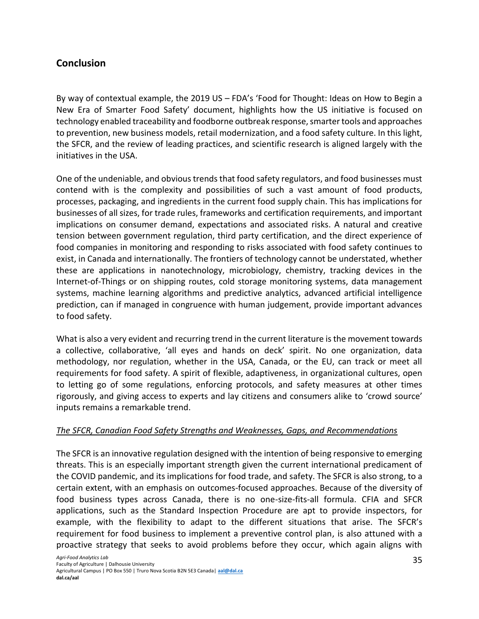# <span id="page-35-0"></span>**Conclusion**

By way of contextual example, the 2019 US – FDA's 'Food for Thought: Ideas on How to Begin a New Era of Smarter Food Safety' document, highlights how the US initiative is focused on technology enabled traceability and foodborne outbreak response, smarter tools and approaches to prevention, new business models, retail modernization, and a food safety culture. In this light, the SFCR, and the review of leading practices, and scientific research is aligned largely with the initiatives in the USA.

One of the undeniable, and obvious trends that food safety regulators, and food businesses must contend with is the complexity and possibilities of such a vast amount of food products, processes, packaging, and ingredients in the current food supply chain. This has implications for businesses of all sizes, for trade rules, frameworks and certification requirements, and important implications on consumer demand, expectations and associated risks. A natural and creative tension between government regulation, third party certification, and the direct experience of food companies in monitoring and responding to risks associated with food safety continues to exist, in Canada and internationally. The frontiers of technology cannot be understated, whether these are applications in nanotechnology, microbiology, chemistry, tracking devices in the Internet-of-Things or on shipping routes, cold storage monitoring systems, data management systems, machine learning algorithms and predictive analytics, advanced artificial intelligence prediction, can if managed in congruence with human judgement, provide important advances to food safety.

What is also a very evident and recurring trend in the current literature is the movement towards a collective, collaborative, 'all eyes and hands on deck' spirit. No one organization, data methodology, nor regulation, whether in the USA, Canada, or the EU, can track or meet all requirements for food safety. A spirit of flexible, adaptiveness, in organizational cultures, open to letting go of some regulations, enforcing protocols, and safety measures at other times rigorously, and giving access to experts and lay citizens and consumers alike to 'crowd source' inputs remains a remarkable trend.

#### *The SFCR, Canadian Food Safety Strengths and Weaknesses, Gaps, and Recommendations*

The SFCR is an innovative regulation designed with the intention of being responsive to emerging threats. This is an especially important strength given the current international predicament of the COVID pandemic, and its implications for food trade, and safety. The SFCR is also strong, to a certain extent, with an emphasis on outcomes-focused approaches. Because of the diversity of food business types across Canada, there is no one-size-fits-all formula. CFIA and SFCR applications, such as the Standard Inspection Procedure are apt to provide inspectors, for example, with the flexibility to adapt to the different situations that arise. The SFCR's requirement for food business to implement a preventive control plan, is also attuned with a proactive strategy that seeks to avoid problems before they occur, which again aligns with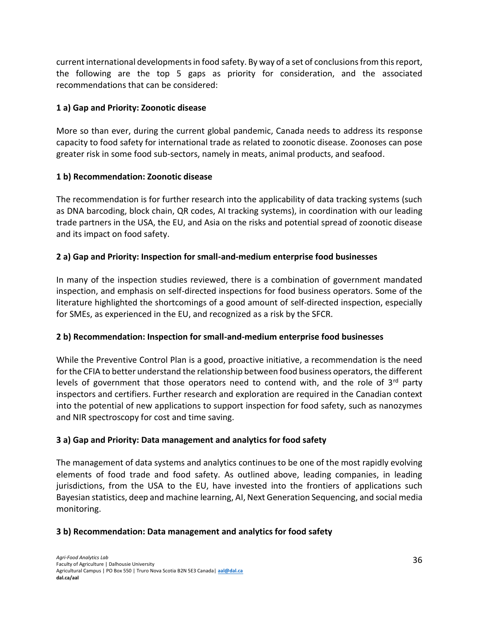current international developments in food safety. By way of a set of conclusions from this report, the following are the top 5 gaps as priority for consideration, and the associated recommendations that can be considered:

## **1 a) Gap and Priority: Zoonotic disease**

More so than ever, during the current global pandemic, Canada needs to address its response capacity to food safety for international trade as related to zoonotic disease. Zoonoses can pose greater risk in some food sub-sectors, namely in meats, animal products, and seafood.

# **1 b) Recommendation: Zoonotic disease**

The recommendation is for further research into the applicability of data tracking systems (such as DNA barcoding, block chain, QR codes, AI tracking systems), in coordination with our leading trade partners in the USA, the EU, and Asia on the risks and potential spread of zoonotic disease and its impact on food safety.

# **2 a) Gap and Priority: Inspection for small-and-medium enterprise food businesses**

In many of the inspection studies reviewed, there is a combination of government mandated inspection, and emphasis on self-directed inspections for food business operators. Some of the literature highlighted the shortcomings of a good amount of self-directed inspection, especially for SMEs, as experienced in the EU, and recognized as a risk by the SFCR.

# **2 b) Recommendation: Inspection for small-and-medium enterprise food businesses**

While the Preventive Control Plan is a good, proactive initiative, a recommendation is the need for the CFIA to better understand the relationship between food business operators, the different levels of government that those operators need to contend with, and the role of 3<sup>rd</sup> party inspectors and certifiers. Further research and exploration are required in the Canadian context into the potential of new applications to support inspection for food safety, such as nanozymes and NIR spectroscopy for cost and time saving.

# **3 a) Gap and Priority: Data management and analytics for food safety**

The management of data systems and analytics continues to be one of the most rapidly evolving elements of food trade and food safety. As outlined above, leading companies, in leading jurisdictions, from the USA to the EU, have invested into the frontiers of applications such Bayesian statistics, deep and machine learning, AI, Next Generation Sequencing, and social media monitoring.

## **3 b) Recommendation: Data management and analytics for food safety**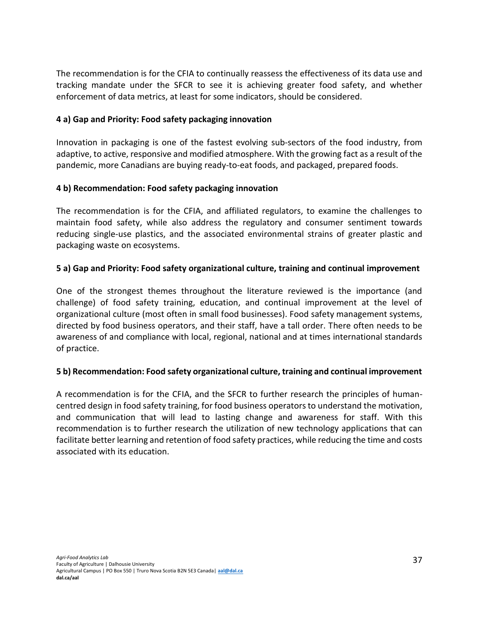The recommendation is for the CFIA to continually reassess the effectiveness of its data use and tracking mandate under the SFCR to see it is achieving greater food safety, and whether enforcement of data metrics, at least for some indicators, should be considered.

#### **4 a) Gap and Priority: Food safety packaging innovation**

Innovation in packaging is one of the fastest evolving sub-sectors of the food industry, from adaptive, to active, responsive and modified atmosphere. With the growing fact as a result of the pandemic, more Canadians are buying ready-to-eat foods, and packaged, prepared foods.

#### **4 b) Recommendation: Food safety packaging innovation**

The recommendation is for the CFIA, and affiliated regulators, to examine the challenges to maintain food safety, while also address the regulatory and consumer sentiment towards reducing single-use plastics, and the associated environmental strains of greater plastic and packaging waste on ecosystems.

#### **5 a) Gap and Priority: Food safety organizational culture, training and continual improvement**

One of the strongest themes throughout the literature reviewed is the importance (and challenge) of food safety training, education, and continual improvement at the level of organizational culture (most often in small food businesses). Food safety management systems, directed by food business operators, and their staff, have a tall order. There often needs to be awareness of and compliance with local, regional, national and at times international standards of practice.

## **5 b) Recommendation: Food safety organizational culture, training and continual improvement**

A recommendation is for the CFIA, and the SFCR to further research the principles of humancentred design in food safety training, for food business operators to understand the motivation, and communication that will lead to lasting change and awareness for staff. With this recommendation is to further research the utilization of new technology applications that can facilitate better learning and retention of food safety practices, while reducing the time and costs associated with its education.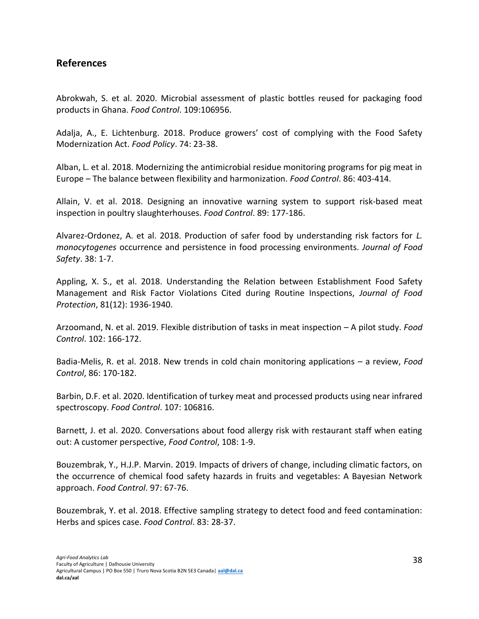# <span id="page-38-0"></span>**References**

Abrokwah, S. et al. 2020. Microbial assessment of plastic bottles reused for packaging food products in Ghana. *Food Control*. 109:106956.

Adalja, A., E. Lichtenburg. 2018. Produce growers' cost of complying with the Food Safety Modernization Act. *Food Policy*. 74: 23-38.

Alban, L. et al. 2018. Modernizing the antimicrobial residue monitoring programs for pig meat in Europe – The balance between flexibility and harmonization. *Food Control*. 86: 403-414.

Allain, V. et al. 2018. Designing an innovative warning system to support risk-based meat inspection in poultry slaughterhouses. *Food Control*. 89: 177-186.

Alvarez-Ordonez, A. et al. 2018. Production of safer food by understanding risk factors for *L. monocytogenes* occurrence and persistence in food processing environments. *Journal of Food Safety*. 38: 1-7.

Appling, X. S., et al. 2018. Understanding the Relation between Establishment Food Safety Management and Risk Factor Violations Cited during Routine Inspections, *Journal of Food Protection*, 81(12): 1936-1940.

Arzoomand, N. et al. 2019. Flexible distribution of tasks in meat inspection – A pilot study. *Food Control*. 102: 166-172.

Badia-Melis, R. et al. 2018. New trends in cold chain monitoring applications – a review, *Food Control*, 86: 170-182.

Barbin, D.F. et al. 2020. Identification of turkey meat and processed products using near infrared spectroscopy. *Food Control*. 107: 106816.

Barnett, J. et al. 2020. Conversations about food allergy risk with restaurant staff when eating out: A customer perspective, *Food Control*, 108: 1-9.

Bouzembrak, Y., H.J.P. Marvin. 2019. Impacts of drivers of change, including climatic factors, on the occurrence of chemical food safety hazards in fruits and vegetables: A Bayesian Network approach. *Food Control*. 97: 67-76.

Bouzembrak, Y. et al. 2018. Effective sampling strategy to detect food and feed contamination: Herbs and spices case. *Food Control*. 83: 28-37.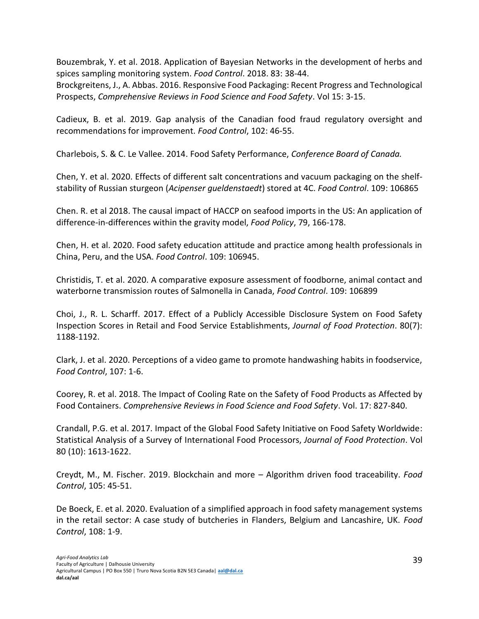Bouzembrak, Y. et al. 2018. Application of Bayesian Networks in the development of herbs and spices sampling monitoring system. *Food Control*. 2018. 83: 38-44.

Brockgreitens, J., A. Abbas. 2016. Responsive Food Packaging: Recent Progress and Technological Prospects, *Comprehensive Reviews in Food Science and Food Safety*. Vol 15: 3-15.

Cadieux, B. et al. 2019. Gap analysis of the Canadian food fraud regulatory oversight and recommendations for improvement. *Food Control*, 102: 46-55.

Charlebois, S. & C. Le Vallee. 2014. Food Safety Performance, *Conference Board of Canada.* 

Chen, Y. et al. 2020. Effects of different salt concentrations and vacuum packaging on the shelfstability of Russian sturgeon (*Acipenser gueldenstaedt*) stored at 4C. *Food Control*. 109: 106865

Chen. R. et al 2018. The causal impact of HACCP on seafood imports in the US: An application of difference-in-differences within the gravity model, *Food Policy*, 79, 166-178.

Chen, H. et al. 2020. Food safety education attitude and practice among health professionals in China, Peru, and the USA. *Food Control*. 109: 106945.

Christidis, T. et al. 2020. A comparative exposure assessment of foodborne, animal contact and waterborne transmission routes of Salmonella in Canada, *Food Control*. 109: 106899

Choi, J., R. L. Scharff. 2017. Effect of a Publicly Accessible Disclosure System on Food Safety Inspection Scores in Retail and Food Service Establishments, *Journal of Food Protection*. 80(7): 1188-1192.

Clark, J. et al. 2020. Perceptions of a video game to promote handwashing habits in foodservice, *Food Control*, 107: 1-6.

Coorey, R. et al. 2018. The Impact of Cooling Rate on the Safety of Food Products as Affected by Food Containers. *Comprehensive Reviews in Food Science and Food Safety*. Vol. 17: 827-840.

Crandall, P.G. et al. 2017. Impact of the Global Food Safety Initiative on Food Safety Worldwide: Statistical Analysis of a Survey of International Food Processors, *Journal of Food Protection*. Vol 80 (10): 1613-1622.

Creydt, M., M. Fischer. 2019. Blockchain and more – Algorithm driven food traceability. *Food Control*, 105: 45-51.

De Boeck, E. et al. 2020. Evaluation of a simplified approach in food safety management systems in the retail sector: A case study of butcheries in Flanders, Belgium and Lancashire, UK. *Food Control*, 108: 1-9.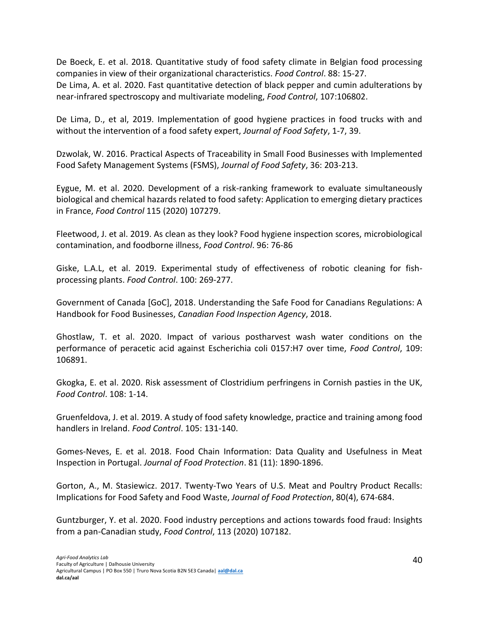De Boeck, E. et al. 2018. Quantitative study of food safety climate in Belgian food processing companies in view of their organizational characteristics. *Food Control*. 88: 15-27.

De Lima, A. et al. 2020. Fast quantitative detection of black pepper and cumin adulterations by near-infrared spectroscopy and multivariate modeling, *Food Control*, 107:106802.

De Lima, D., et al, 2019. Implementation of good hygiene practices in food trucks with and without the intervention of a food safety expert, *Journal of Food Safety*, 1-7, 39.

Dzwolak, W. 2016. Practical Aspects of Traceability in Small Food Businesses with Implemented Food Safety Management Systems (FSMS), *Journal of Food Safety*, 36: 203-213.

Eygue, M. et al. 2020. Development of a risk-ranking framework to evaluate simultaneously biological and chemical hazards related to food safety: Application to emerging dietary practices in France, *Food Control* 115 (2020) 107279.

Fleetwood, J. et al. 2019. As clean as they look? Food hygiene inspection scores, microbiological contamination, and foodborne illness, *Food Control*. 96: 76-86

Giske, L.A.L, et al. 2019. Experimental study of effectiveness of robotic cleaning for fishprocessing plants. *Food Control*. 100: 269-277.

Government of Canada [GoC], 2018. Understanding the Safe Food for Canadians Regulations: A Handbook for Food Businesses, *Canadian Food Inspection Agency*, 2018.

Ghostlaw, T. et al. 2020. Impact of various postharvest wash water conditions on the performance of peracetic acid against Escherichia coli 0157:H7 over time, *Food Control*, 109: 106891.

Gkogka, E. et al. 2020. Risk assessment of Clostridium perfringens in Cornish pasties in the UK, *Food Control*. 108: 1-14.

Gruenfeldova, J. et al. 2019. A study of food safety knowledge, practice and training among food handlers in Ireland. *Food Control*. 105: 131-140.

Gomes-Neves, E. et al. 2018. Food Chain Information: Data Quality and Usefulness in Meat Inspection in Portugal. *Journal of Food Protection*. 81 (11): 1890-1896.

Gorton, A., M. Stasiewicz. 2017. Twenty-Two Years of U.S. Meat and Poultry Product Recalls: Implications for Food Safety and Food Waste, *Journal of Food Protection*, 80(4), 674-684.

Guntzburger, Y. et al. 2020. Food industry perceptions and actions towards food fraud: Insights from a pan-Canadian study, *Food Control*, 113 (2020) 107182.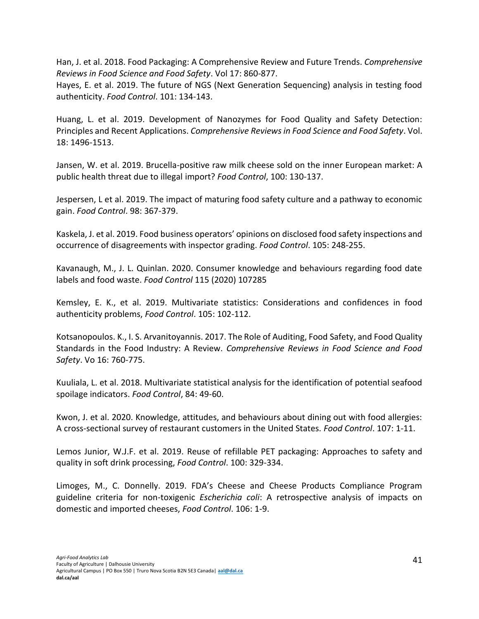Han, J. et al. 2018. Food Packaging: A Comprehensive Review and Future Trends. *Comprehensive Reviews in Food Science and Food Safety*. Vol 17: 860-877.

Hayes, E. et al. 2019. The future of NGS (Next Generation Sequencing) analysis in testing food authenticity. *Food Control*. 101: 134-143.

Huang, L. et al. 2019. Development of Nanozymes for Food Quality and Safety Detection: Principles and Recent Applications. *Comprehensive Reviews in Food Science and Food Safety*. Vol. 18: 1496-1513.

Jansen, W. et al. 2019. Brucella-positive raw milk cheese sold on the inner European market: A public health threat due to illegal import? *Food Control*, 100: 130-137.

Jespersen, L et al. 2019. The impact of maturing food safety culture and a pathway to economic gain. *Food Control*. 98: 367-379.

Kaskela, J. et al. 2019. Food business operators' opinions on disclosed food safety inspections and occurrence of disagreements with inspector grading. *Food Control*. 105: 248-255.

Kavanaugh, M., J. L. Quinlan. 2020. Consumer knowledge and behaviours regarding food date labels and food waste. *Food Control* 115 (2020) 107285

Kemsley, E. K., et al. 2019. Multivariate statistics: Considerations and confidences in food authenticity problems, *Food Control*. 105: 102-112.

Kotsanopoulos. K., I. S. Arvanitoyannis. 2017. The Role of Auditing, Food Safety, and Food Quality Standards in the Food Industry: A Review. *Comprehensive Reviews in Food Science and Food Safety*. Vo 16: 760-775.

Kuuliala, L. et al. 2018. Multivariate statistical analysis for the identification of potential seafood spoilage indicators. *Food Control*, 84: 49-60.

Kwon, J. et al. 2020. Knowledge, attitudes, and behaviours about dining out with food allergies: A cross-sectional survey of restaurant customers in the United States. *Food Control*. 107: 1-11.

Lemos Junior, W.J.F. et al. 2019. Reuse of refillable PET packaging: Approaches to safety and quality in soft drink processing, *Food Control*. 100: 329-334.

Limoges, M., C. Donnelly. 2019. FDA's Cheese and Cheese Products Compliance Program guideline criteria for non-toxigenic *Escherichia coli*: A retrospective analysis of impacts on domestic and imported cheeses, *Food Control*. 106: 1-9.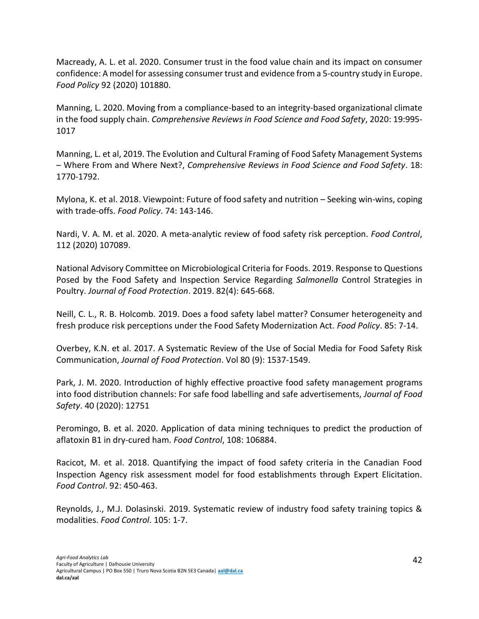Macready, A. L. et al. 2020. Consumer trust in the food value chain and its impact on consumer confidence: A model for assessing consumer trust and evidence from a 5-country study in Europe. *Food Policy* 92 (2020) 101880.

Manning, L. 2020. Moving from a compliance-based to an integrity-based organizational climate in the food supply chain. *Comprehensive Reviews in Food Science and Food Safety*, 2020: 19:995- 1017

Manning, L. et al, 2019. The Evolution and Cultural Framing of Food Safety Management Systems – Where From and Where Next?, *Comprehensive Reviews in Food Science and Food Safety*. 18: 1770-1792.

Mylona, K. et al. 2018. Viewpoint: Future of food safety and nutrition – Seeking win-wins, coping with trade-offs. *Food Policy*. 74: 143-146.

Nardi, V. A. M. et al. 2020. A meta-analytic review of food safety risk perception. *Food Control*, 112 (2020) 107089.

National Advisory Committee on Microbiological Criteria for Foods. 2019. Response to Questions Posed by the Food Safety and Inspection Service Regarding *Salmonella* Control Strategies in Poultry. *Journal of Food Protection*. 2019. 82(4): 645-668.

Neill, C. L., R. B. Holcomb. 2019. Does a food safety label matter? Consumer heterogeneity and fresh produce risk perceptions under the Food Safety Modernization Act. *Food Policy*. 85: 7-14.

Overbey, K.N. et al. 2017. A Systematic Review of the Use of Social Media for Food Safety Risk Communication, *Journal of Food Protection*. Vol 80 (9): 1537-1549.

Park, J. M. 2020. Introduction of highly effective proactive food safety management programs into food distribution channels: For safe food labelling and safe advertisements, *Journal of Food Safety*. 40 (2020): 12751

Peromingo, B. et al. 2020. Application of data mining techniques to predict the production of aflatoxin B1 in dry-cured ham. *Food Control*, 108: 106884.

Racicot, M. et al. 2018. Quantifying the impact of food safety criteria in the Canadian Food Inspection Agency risk assessment model for food establishments through Expert Elicitation. *Food Control*. 92: 450-463.

Reynolds, J., M.J. Dolasinski. 2019. Systematic review of industry food safety training topics & modalities. *Food Control*. 105: 1-7.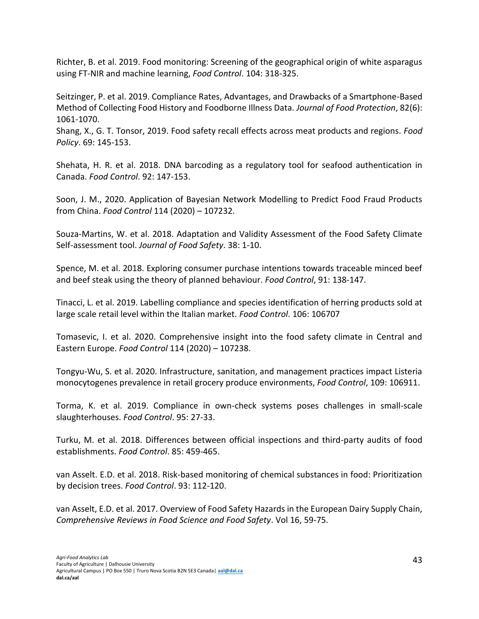Richter, B. et al. 2019. Food monitoring: Screening of the geographical origin of white asparagus using FT-NIR and machine learning, *Food Control*. 104: 318-325.

Seitzinger, P. et al. 2019. Compliance Rates, Advantages, and Drawbacks of a Smartphone-Based Method of Collecting Food History and Foodborne Illness Data. *Journal of Food Protection*, 82(6): 1061-1070.

Shang, X., G. T. Tonsor, 2019. Food safety recall effects across meat products and regions. *Food Policy*. 69: 145-153.

Shehata, H. R. et al. 2018. DNA barcoding as a regulatory tool for seafood authentication in Canada. *Food Control*. 92: 147-153.

Soon, J. M., 2020. Application of Bayesian Network Modelling to Predict Food Fraud Products from China. *Food Control* 114 (2020) – 107232.

Souza-Martins, W. et al. 2018. Adaptation and Validity Assessment of the Food Safety Climate Self-assessment tool. *Journal of Food Safety*. 38: 1-10.

Spence, M. et al. 2018. Exploring consumer purchase intentions towards traceable minced beef and beef steak using the theory of planned behaviour. *Food Control*, 91: 138-147.

Tinacci, L. et al. 2019. Labelling compliance and species identification of herring products sold at large scale retail level within the Italian market. *Food Control*. 106: 106707

Tomasevic, I. et al. 2020. Comprehensive insight into the food safety climate in Central and Eastern Europe. *Food Control* 114 (2020) – 107238.

Tongyu-Wu, S. et al. 2020. Infrastructure, sanitation, and management practices impact Listeria monocytogenes prevalence in retail grocery produce environments, *Food Control*, 109: 106911.

Torma, K. et al. 2019. Compliance in own-check systems poses challenges in small-scale slaughterhouses. *Food Control*. 95: 27-33.

Turku, M. et al. 2018. Differences between official inspections and third-party audits of food establishments. *Food Control*. 85: 459-465.

van Asselt. E.D. et al. 2018. Risk-based monitoring of chemical substances in food: Prioritization by decision trees. *Food Control*. 93: 112-120.

van Asselt, E.D. et al. 2017. Overview of Food Safety Hazards in the European Dairy Supply Chain, *Comprehensive Reviews in Food Science and Food Safety*. Vol 16, 59-75.